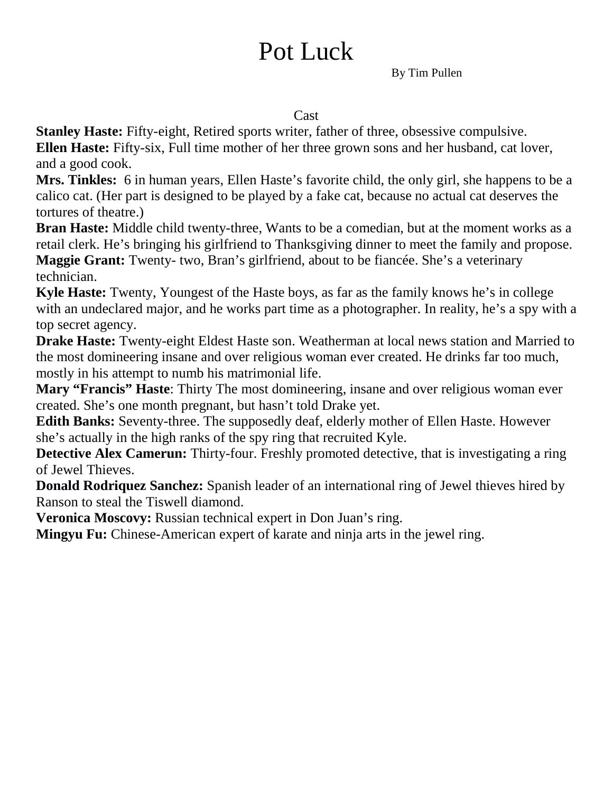# Pot Luck

By Tim Pullen

#### **Cast**

**Stanley Haste:** Fifty-eight, Retired sports writer, father of three, obsessive compulsive. **Ellen Haste:** Fifty-six, Full time mother of her three grown sons and her husband, cat lover, and a good cook.

**Mrs. Tinkles:** 6 in human years, Ellen Haste's favorite child, the only girl, she happens to be a calico cat. (Her part is designed to be played by a fake cat, because no actual cat deserves the tortures of theatre.)

**Bran Haste:** Middle child twenty-three, Wants to be a comedian, but at the moment works as a retail clerk. He's bringing his girlfriend to Thanksgiving dinner to meet the family and propose. **Maggie Grant:** Twenty- two, Bran's girlfriend, about to be fiancée. She's a veterinary technician.

**Kyle Haste:** Twenty, Youngest of the Haste boys, as far as the family knows he's in college with an undeclared major, and he works part time as a photographer. In reality, he's a spy with a top secret agency.

**Drake Haste:** Twenty-eight Eldest Haste son. Weatherman at local news station and Married to the most domineering insane and over religious woman ever created. He drinks far too much, mostly in his attempt to numb his matrimonial life.

**Mary "Francis" Haste**: Thirty The most domineering, insane and over religious woman ever created. She's one month pregnant, but hasn't told Drake yet.

**Edith Banks:** Seventy-three. The supposedly deaf, elderly mother of Ellen Haste. However she's actually in the high ranks of the spy ring that recruited Kyle.

**Detective Alex Camerun:** Thirty-four. Freshly promoted detective, that is investigating a ring of Jewel Thieves.

**Donald Rodriquez Sanchez:** Spanish leader of an international ring of Jewel thieves hired by Ranson to steal the Tiswell diamond.

**Veronica Moscovy:** Russian technical expert in Don Juan's ring.

**Mingyu Fu:** Chinese-American expert of karate and ninja arts in the jewel ring.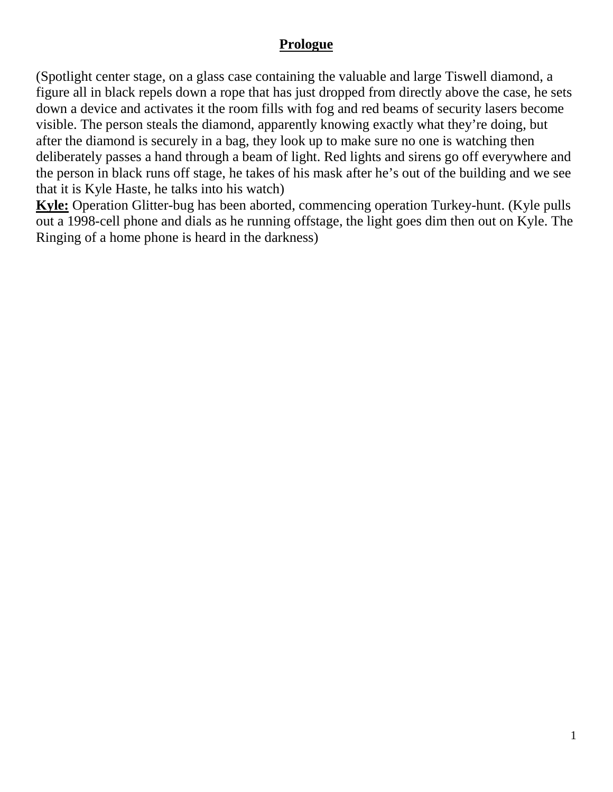#### **Prologue**

(Spotlight center stage, on a glass case containing the valuable and large Tiswell diamond, a figure all in black repels down a rope that has just dropped from directly above the case, he sets down a device and activates it the room fills with fog and red beams of security lasers become visible. The person steals the diamond, apparently knowing exactly what they're doing, but after the diamond is securely in a bag, they look up to make sure no one is watching then deliberately passes a hand through a beam of light. Red lights and sirens go off everywhere and the person in black runs off stage, he takes of his mask after he's out of the building and we see that it is Kyle Haste, he talks into his watch)

**Kyle:** Operation Glitter-bug has been aborted, commencing operation Turkey-hunt. (Kyle pulls out a 1998-cell phone and dials as he running offstage, the light goes dim then out on Kyle. The Ringing of a home phone is heard in the darkness)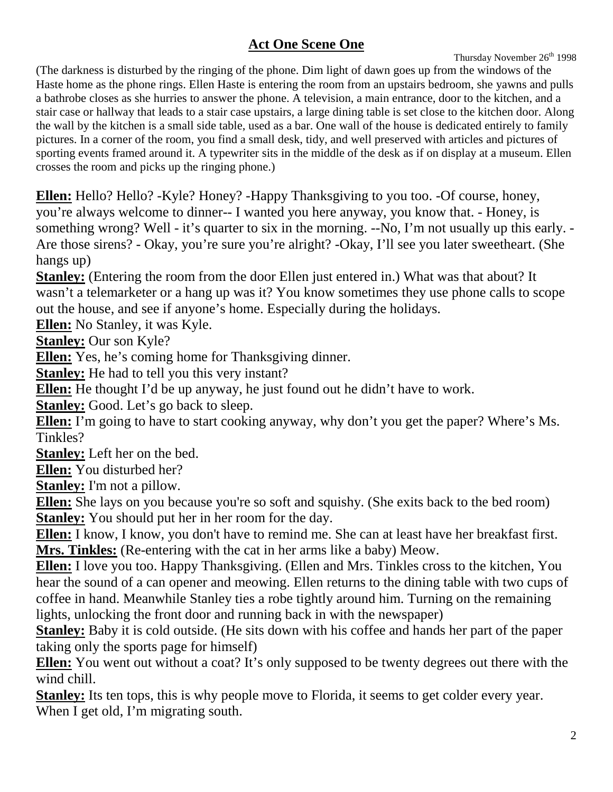## **Act One Scene One**

Thursday November 26<sup>th</sup> 1998

(The darkness is disturbed by the ringing of the phone. Dim light of dawn goes up from the windows of the Haste home as the phone rings. Ellen Haste is entering the room from an upstairs bedroom, she yawns and pulls a bathrobe closes as she hurries to answer the phone. A television, a main entrance, door to the kitchen, and a stair case or hallway that leads to a stair case upstairs, a large dining table is set close to the kitchen door. Along the wall by the kitchen is a small side table, used as a bar. One wall of the house is dedicated entirely to family pictures. In a corner of the room, you find a small desk, tidy, and well preserved with articles and pictures of sporting events framed around it. A typewriter sits in the middle of the desk as if on display at a museum. Ellen crosses the room and picks up the ringing phone.)

**Ellen:** Hello? Hello? -Kyle? Honey? -Happy Thanksgiving to you too. -Of course, honey, you're always welcome to dinner-- I wanted you here anyway, you know that. - Honey, is something wrong? Well - it's quarter to six in the morning. --No, I'm not usually up this early. - Are those sirens? - Okay, you're sure you're alright? -Okay, I'll see you later sweetheart. (She hangs up)

**Stanley:** (Entering the room from the door Ellen just entered in.) What was that about? It wasn't a telemarketer or a hang up was it? You know sometimes they use phone calls to scope out the house, and see if anyone's home. Especially during the holidays.

**Ellen:** No Stanley, it was Kyle.

**Stanley:** Our son Kyle?

**Ellen:** Yes, he's coming home for Thanksgiving dinner.

**Stanley:** He had to tell you this very instant?

**Ellen:** He thought I'd be up anyway, he just found out he didn't have to work.

**Stanley:** Good. Let's go back to sleep.

**Ellen:** I'm going to have to start cooking anyway, why don't you get the paper? Where's Ms. Tinkles?

**Stanley:** Left her on the bed.

**Ellen:** You disturbed her?

**Stanley:** I'm not a pillow.

**Ellen:** She lays on you because you're so soft and squishy. (She exits back to the bed room) **Stanley:** You should put her in her room for the day.

**Ellen:** I know, I know, you don't have to remind me. She can at least have her breakfast first. **Mrs. Tinkles:** (Re-entering with the cat in her arms like a baby) Meow.

**Ellen:** I love you too. Happy Thanksgiving. (Ellen and Mrs. Tinkles cross to the kitchen, You hear the sound of a can opener and meowing. Ellen returns to the dining table with two cups of coffee in hand. Meanwhile Stanley ties a robe tightly around him. Turning on the remaining lights, unlocking the front door and running back in with the newspaper)

**Stanley:** Baby it is cold outside. (He sits down with his coffee and hands her part of the paper taking only the sports page for himself)

**Ellen:** You went out without a coat? It's only supposed to be twenty degrees out there with the wind chill.

**Stanley:** Its ten tops, this is why people move to Florida, it seems to get colder every year. When I get old, I'm migrating south.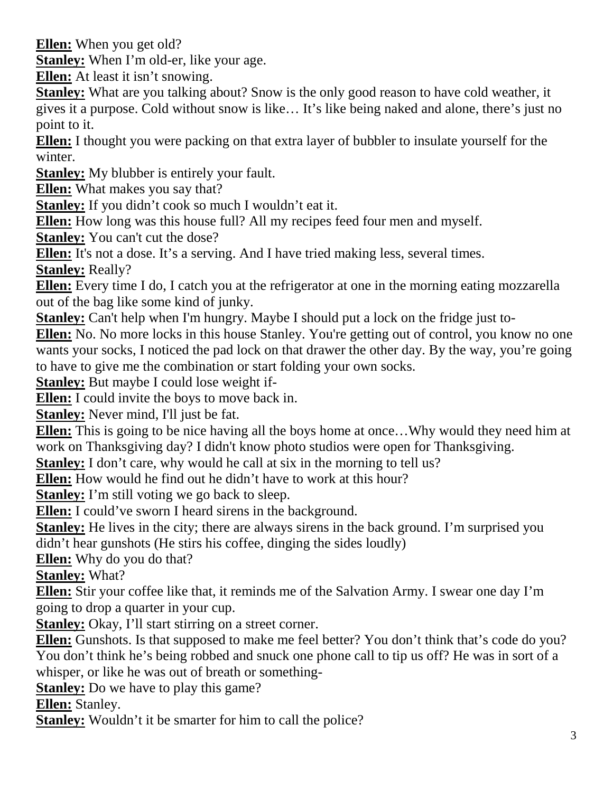**Ellen:** When you get old?

**Stanley:** When I'm old-er, like your age.

**Ellen:** At least it isn't snowing.

**Stanley:** What are you talking about? Snow is the only good reason to have cold weather, it gives it a purpose. Cold without snow is like… It's like being naked and alone, there's just no point to it.

**Ellen:** I thought you were packing on that extra layer of bubbler to insulate yourself for the winter.

**Stanley:** My blubber is entirely your fault.

**Ellen:** What makes you say that?

**Stanley:** If you didn't cook so much I wouldn't eat it.

**Ellen:** How long was this house full? All my recipes feed four men and myself.

**Stanley:** You can't cut the dose?

**Ellen:** It's not a dose. It's a serving. And I have tried making less, several times.

**Stanley:** Really?

**Ellen:** Every time I do, I catch you at the refrigerator at one in the morning eating mozzarella out of the bag like some kind of junky.

**Stanley:** Can't help when I'm hungry. Maybe I should put a lock on the fridge just to-

**Ellen:** No. No more locks in this house Stanley. You're getting out of control, you know no one wants your socks, I noticed the pad lock on that drawer the other day. By the way, you're going to have to give me the combination or start folding your own socks.

**Stanley:** But maybe I could lose weight if-

**Ellen:** I could invite the boys to move back in.

**Stanley:** Never mind, I'll just be fat.

**Ellen:** This is going to be nice having all the boys home at once…Why would they need him at work on Thanksgiving day? I didn't know photo studios were open for Thanksgiving.

**Stanley:** I don't care, why would he call at six in the morning to tell us?

**Ellen:** How would he find out he didn't have to work at this hour?

**Stanley:** I'm still voting we go back to sleep.

**Ellen:** I could've sworn I heard sirens in the background.

**Stanley:** He lives in the city; there are always sirens in the back ground. I'm surprised you didn't hear gunshots (He stirs his coffee, dinging the sides loudly)

**Ellen:** Why do you do that?

**Stanley:** What?

**Ellen:** Stir your coffee like that, it reminds me of the Salvation Army. I swear one day I'm going to drop a quarter in your cup.

**Stanley:** Okay, I'll start stirring on a street corner.

**Ellen:** Gunshots. Is that supposed to make me feel better? You don't think that's code do you? You don't think he's being robbed and snuck one phone call to tip us off? He was in sort of a whisper, or like he was out of breath or something-

**Stanley:** Do we have to play this game?

**Ellen:** Stanley.

**Stanley:** Wouldn't it be smarter for him to call the police?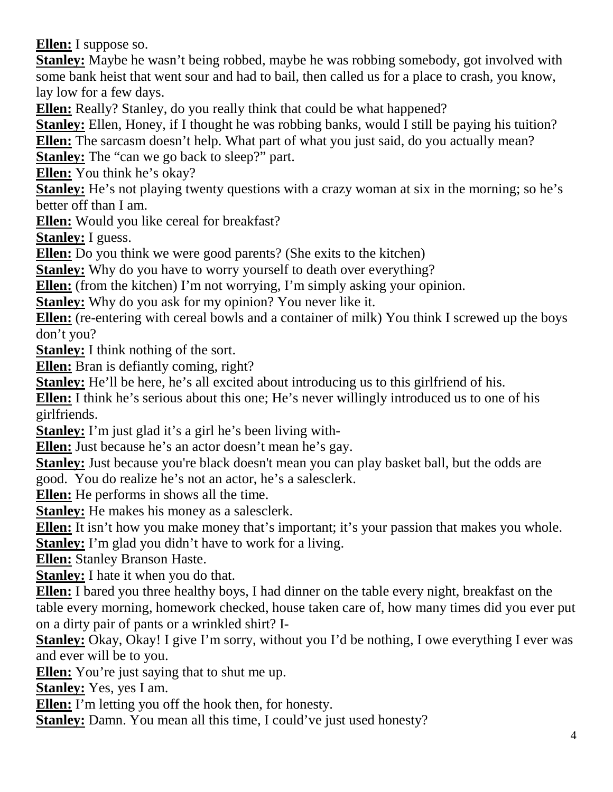**Ellen:** I suppose so.

**Stanley:** Maybe he wasn't being robbed, maybe he was robbing somebody, got involved with some bank heist that went sour and had to bail, then called us for a place to crash, you know, lay low for a few days.

**Ellen:** Really? Stanley, do you really think that could be what happened?

**Stanley:** Ellen, Honey, if I thought he was robbing banks, would I still be paying his tuition? **Ellen:** The sarcasm doesn't help. What part of what you just said, do you actually mean? **Stanley:** The "can we go back to sleep?" part.

**Ellen:** You think he's okay?

**Stanley:** He's not playing twenty questions with a crazy woman at six in the morning; so he's better off than I am.

**Ellen:** Would you like cereal for breakfast?

**Stanley:** I guess.

**Ellen:** Do you think we were good parents? (She exits to the kitchen)

**Stanley:** Why do you have to worry yourself to death over everything?

**Ellen:** (from the kitchen) I'm not worrying, I'm simply asking your opinion.

**Stanley:** Why do you ask for my opinion? You never like it.

**Ellen:** (re-entering with cereal bowls and a container of milk) You think I screwed up the boys don't you?

**Stanley:** I think nothing of the sort.

**Ellen:** Bran is defiantly coming, right?

**Stanley:** He'll be here, he's all excited about introducing us to this girlfriend of his.

**Ellen:** I think he's serious about this one; He's never willingly introduced us to one of his girlfriends.

**Stanley:** I'm just glad it's a girl he's been living with-

**Ellen:** Just because he's an actor doesn't mean he's gay.

**Stanley:** Just because you're black doesn't mean you can play basket ball, but the odds are good. You do realize he's not an actor, he's a salesclerk.

**Ellen:** He performs in shows all the time.

**Stanley:** He makes his money as a salesclerk.

**Ellen:** It isn't how you make money that's important; it's your passion that makes you whole.

**Stanley:** I'm glad you didn't have to work for a living.

**Ellen:** Stanley Branson Haste.

**Stanley:** I hate it when you do that.

**Ellen:** I bared you three healthy boys, I had dinner on the table every night, breakfast on the table every morning, homework checked, house taken care of, how many times did you ever put on a dirty pair of pants or a wrinkled shirt? I-

**Stanley:** Okay, Okay! I give I'm sorry, without you I'd be nothing, I owe everything I ever was and ever will be to you.

Ellen: You're just saying that to shut me up.

**Stanley:** Yes, yes I am.

**Ellen:** I'm letting you off the hook then, for honesty.

**Stanley:** Damn. You mean all this time, I could've just used honesty?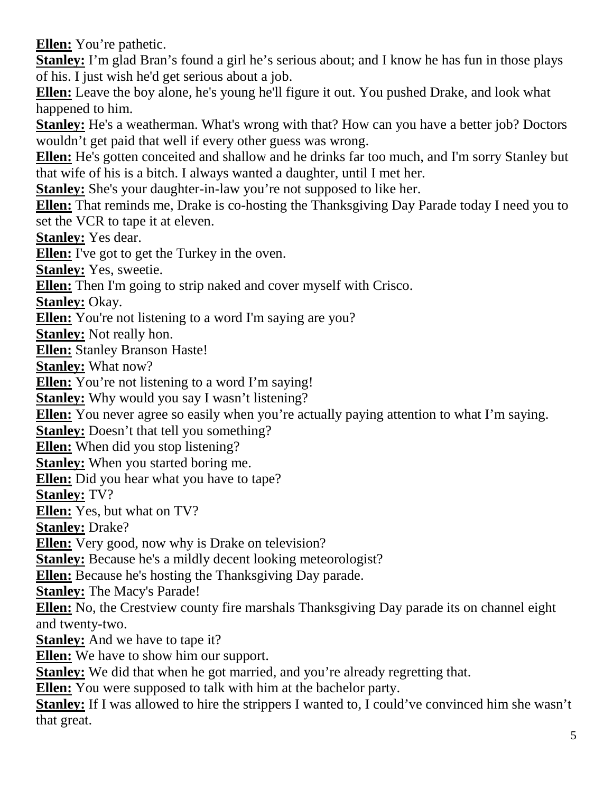**Ellen:** You're pathetic.

**Stanley:** I'm glad Bran's found a girl he's serious about; and I know he has fun in those plays of his. I just wish he'd get serious about a job.

**Ellen:** Leave the boy alone, he's young he'll figure it out. You pushed Drake, and look what happened to him.

**Stanley:** He's a weatherman. What's wrong with that? How can you have a better job? Doctors wouldn't get paid that well if every other guess was wrong.

**Ellen:** He's gotten conceited and shallow and he drinks far too much, and I'm sorry Stanley but that wife of his is a bitch. I always wanted a daughter, until I met her.

**Stanley:** She's your daughter-in-law you're not supposed to like her.

**Ellen:** That reminds me, Drake is co-hosting the Thanksgiving Day Parade today I need you to set the VCR to tape it at eleven.

**Stanley:** Yes dear.

**Ellen:** I've got to get the Turkey in the oven.

**Stanley:** Yes, sweetie.

**Ellen:** Then I'm going to strip naked and cover myself with Crisco.

**Stanley:** Okay.

**Ellen:** You're not listening to a word I'm saying are you?

**Stanley:** Not really hon.

**Ellen:** Stanley Branson Haste!

**Stanley:** What now?

**Ellen:** You're not listening to a word I'm saying!

**Stanley:** Why would you say I wasn't listening?

**Ellen:** You never agree so easily when you're actually paying attention to what I'm saying.

**Stanley:** Doesn't that tell you something?

**Ellen:** When did you stop listening?

**Stanley:** When you started boring me.

**Ellen:** Did you hear what you have to tape?

**Stanley:** TV?

**Ellen:** Yes, but what on TV?

**Stanley:** Drake?

**Ellen:** Very good, now why is Drake on television?

**Stanley:** Because he's a mildly decent looking meteorologist?

**Ellen:** Because he's hosting the Thanksgiving Day parade.

**Stanley:** The Macy's Parade!

**Ellen:** No, the Crestview county fire marshals Thanksgiving Day parade its on channel eight and twenty-two.

**Stanley:** And we have to tape it?

**Ellen:** We have to show him our support.

**Stanley:** We did that when he got married, and you're already regretting that.

**Ellen:** You were supposed to talk with him at the bachelor party.

**Stanley:** If I was allowed to hire the strippers I wanted to, I could've convinced him she wasn't that great.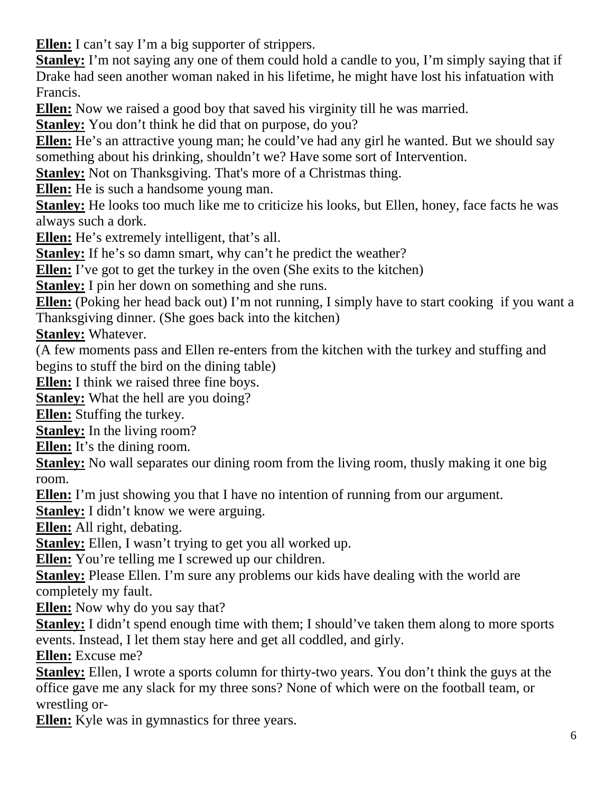**Ellen:** I can't say I'm a big supporter of strippers.

**Stanley:** I'm not saying any one of them could hold a candle to you, I'm simply saying that if Drake had seen another woman naked in his lifetime, he might have lost his infatuation with Francis.

**Ellen:** Now we raised a good boy that saved his virginity till he was married.

**Stanley:** You don't think he did that on purpose, do you?

**Ellen:** He's an attractive young man; he could've had any girl he wanted. But we should say something about his drinking, shouldn't we? Have some sort of Intervention.

**Stanley:** Not on Thanksgiving. That's more of a Christmas thing.

**Ellen:** He is such a handsome young man.

**Stanley:** He looks too much like me to criticize his looks, but Ellen, honey, face facts he was always such a dork.

**Ellen:** He's extremely intelligent, that's all.

**Stanley:** If he's so damn smart, why can't he predict the weather?

**Ellen:** I've got to get the turkey in the oven (She exits to the kitchen)

**Stanley:** I pin her down on something and she runs.

**Ellen:** (Poking her head back out) I'm not running, I simply have to start cooking if you want a Thanksgiving dinner. (She goes back into the kitchen)

**Stanley:** Whatever.

(A few moments pass and Ellen re-enters from the kitchen with the turkey and stuffing and begins to stuff the bird on the dining table)

**Ellen:** I think we raised three fine boys.

**Stanley:** What the hell are you doing?

**Ellen:** Stuffing the turkey.

**Stanley:** In the living room?

**Ellen:** It's the dining room.

**Stanley:** No wall separates our dining room from the living room, thusly making it one big room.

**Ellen:** I'm just showing you that I have no intention of running from our argument.

**Stanley:** I didn't know we were arguing.

**Ellen:** All right, debating.

**Stanley:** Ellen, I wasn't trying to get you all worked up.

**Ellen:** You're telling me I screwed up our children.

**Stanley:** Please Ellen. I'm sure any problems our kids have dealing with the world are completely my fault.

**Ellen:** Now why do you say that?

**Stanley:** I didn't spend enough time with them; I should've taken them along to more sports events. Instead, I let them stay here and get all coddled, and girly.

**Ellen:** Excuse me?

**Stanley:** Ellen, I wrote a sports column for thirty-two years. You don't think the guys at the office gave me any slack for my three sons? None of which were on the football team, or wrestling or-

**Ellen:** Kyle was in gymnastics for three years.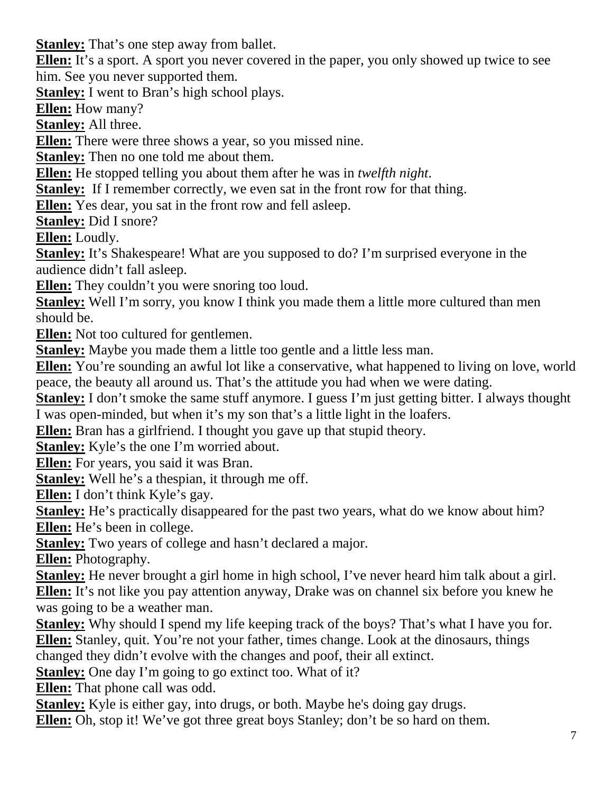**Stanley:** That's one step away from ballet.

**Ellen:** It's a sport. A sport you never covered in the paper, you only showed up twice to see him. See you never supported them.

**Stanley:** I went to Bran's high school plays.

**Ellen:** How many?

**Stanley:** All three.

**Ellen:** There were three shows a year, so you missed nine.

**Stanley:** Then no one told me about them.

**Ellen:** He stopped telling you about them after he was in *twelfth night*.

**Stanley:** If I remember correctly, we even sat in the front row for that thing.

**Ellen:** Yes dear, you sat in the front row and fell asleep.

**Stanley:** Did I snore?

**Ellen:** Loudly.

**Stanley:** It's Shakespeare! What are you supposed to do? I'm surprised everyone in the audience didn't fall asleep.

**Ellen:** They couldn't you were snoring too loud.

**Stanley:** Well I'm sorry, you know I think you made them a little more cultured than men should be.

**Ellen:** Not too cultured for gentlemen.

**Stanley:** Maybe you made them a little too gentle and a little less man.

**Ellen:** You're sounding an awful lot like a conservative, what happened to living on love, world peace, the beauty all around us. That's the attitude you had when we were dating.

**Stanley:** I don't smoke the same stuff anymore. I guess I'm just getting bitter. I always thought I was open-minded, but when it's my son that's a little light in the loafers.

**Ellen:** Bran has a girlfriend. I thought you gave up that stupid theory.

**Stanley:** Kyle's the one I'm worried about.

**Ellen:** For years, you said it was Bran.

**Stanley:** Well he's a thespian, it through me off.

**Ellen:** I don't think Kyle's gay.

**Stanley:** He's practically disappeared for the past two years, what do we know about him? **Ellen:** He's been in college.

**Stanley:** Two years of college and hasn't declared a major.

**Ellen:** Photography.

**Stanley:** He never brought a girl home in high school, I've never heard him talk about a girl. **Ellen:** It's not like you pay attention anyway, Drake was on channel six before you knew he was going to be a weather man.

**Stanley:** Why should I spend my life keeping track of the boys? That's what I have you for. **Ellen:** Stanley, quit. You're not your father, times change. Look at the dinosaurs, things

changed they didn't evolve with the changes and poof, their all extinct.

**Stanley:** One day I'm going to go extinct too. What of it?

**Ellen:** That phone call was odd.

**Stanley:** Kyle is either gay, into drugs, or both. Maybe he's doing gay drugs.

**Ellen:** Oh, stop it! We've got three great boys Stanley; don't be so hard on them.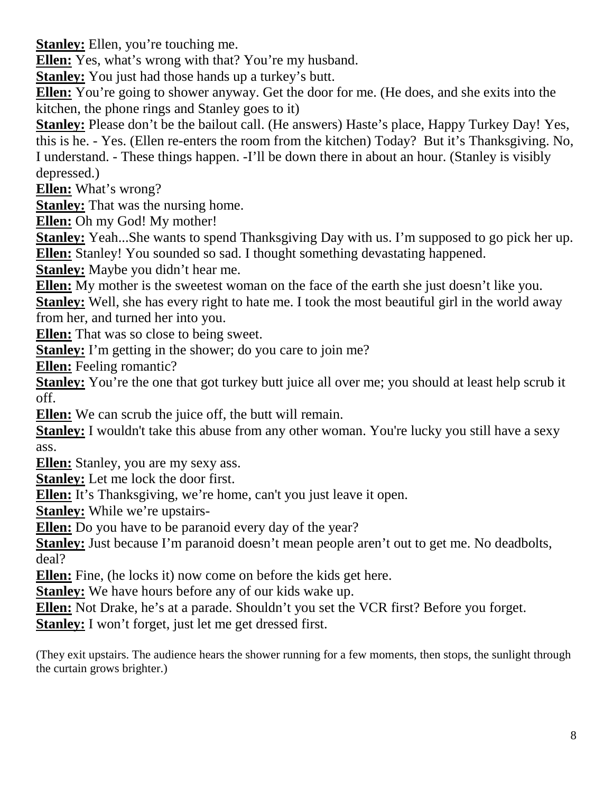**Stanley:** Ellen, you're touching me.

**Ellen:** Yes, what's wrong with that? You're my husband.

**Stanley:** You just had those hands up a turkey's butt.

**Ellen:** You're going to shower anyway. Get the door for me. (He does, and she exits into the kitchen, the phone rings and Stanley goes to it)

**Stanley:** Please don't be the bailout call. (He answers) Haste's place, Happy Turkey Day! Yes, this is he. - Yes. (Ellen re-enters the room from the kitchen) Today? But it's Thanksgiving. No, I understand. - These things happen. -I'll be down there in about an hour. (Stanley is visibly depressed.)

**Ellen:** What's wrong?

**Stanley:** That was the nursing home.

**Ellen:** Oh my God! My mother!

**Stanley:** Yeah...She wants to spend Thanksgiving Day with us. I'm supposed to go pick her up. **Ellen:** Stanley! You sounded so sad. I thought something devastating happened.

**Stanley:** Maybe you didn't hear me.

**Ellen:** My mother is the sweetest woman on the face of the earth she just doesn't like you.

**Stanley:** Well, she has every right to hate me. I took the most beautiful girl in the world away from her, and turned her into you.

**Ellen:** That was so close to being sweet.

**Stanley:** I'm getting in the shower; do you care to join me?

**Ellen:** Feeling romantic?

**Stanley:** You're the one that got turkey butt juice all over me; you should at least help scrub it off.

**Ellen:** We can scrub the juice off, the butt will remain.

**Stanley:** I wouldn't take this abuse from any other woman. You're lucky you still have a sexy ass.

**Ellen:** Stanley, you are my sexy ass.

**Stanley:** Let me lock the door first.

**Ellen:** It's Thanksgiving, we're home, can't you just leave it open.

**Stanley:** While we're upstairs-

**Ellen:** Do you have to be paranoid every day of the year?

**Stanley:** Just because I'm paranoid doesn't mean people aren't out to get me. No deadbolts, deal?

**Ellen:** Fine, (he locks it) now come on before the kids get here.

**Stanley:** We have hours before any of our kids wake up.

**Ellen:** Not Drake, he's at a parade. Shouldn't you set the VCR first? Before you forget.

**Stanley:** I won't forget, just let me get dressed first.

(They exit upstairs. The audience hears the shower running for a few moments, then stops, the sunlight through the curtain grows brighter.)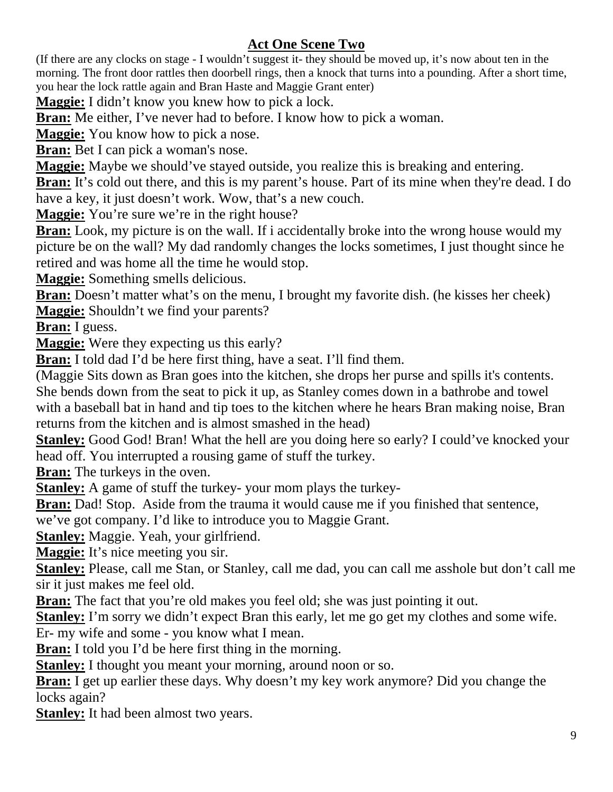## **Act One Scene Two**

(If there are any clocks on stage - I wouldn't suggest it- they should be moved up, it's now about ten in the morning. The front door rattles then doorbell rings, then a knock that turns into a pounding. After a short time, you hear the lock rattle again and Bran Haste and Maggie Grant enter)

**Maggie:** I didn't know you knew how to pick a lock.

**Bran:** Me either, I've never had to before. I know how to pick a woman.

**Maggie:** You know how to pick a nose.

**Bran:** Bet I can pick a woman's nose.

**Maggie:** Maybe we should've stayed outside, you realize this is breaking and entering.

**Bran:** It's cold out there, and this is my parent's house. Part of its mine when they're dead. I do have a key, it just doesn't work. Wow, that's a new couch.

**Maggie:** You're sure we're in the right house?

**Bran:** Look, my picture is on the wall. If i accidentally broke into the wrong house would my picture be on the wall? My dad randomly changes the locks sometimes, I just thought since he retired and was home all the time he would stop.

**Maggie:** Something smells delicious.

**Bran:** Doesn't matter what's on the menu, I brought my favorite dish. (he kisses her cheek)

**Maggie:** Shouldn't we find your parents?

**Bran:** I guess.

**Maggie:** Were they expecting us this early?

**Bran:** I told dad I'd be here first thing, have a seat. I'll find them.

(Maggie Sits down as Bran goes into the kitchen, she drops her purse and spills it's contents.

She bends down from the seat to pick it up, as Stanley comes down in a bathrobe and towel with a baseball bat in hand and tip toes to the kitchen where he hears Bran making noise, Bran returns from the kitchen and is almost smashed in the head)

**Stanley:** Good God! Bran! What the hell are you doing here so early? I could've knocked your head off. You interrupted a rousing game of stuff the turkey.

**Bran:** The turkeys in the oven.

**Stanley:** A game of stuff the turkey- your mom plays the turkey-

**Bran:** Dad! Stop. Aside from the trauma it would cause me if you finished that sentence,

we've got company. I'd like to introduce you to Maggie Grant.

**Stanley:** Maggie. Yeah, your girlfriend.

**Maggie:** It's nice meeting you sir.

**Stanley:** Please, call me Stan, or Stanley, call me dad, you can call me asshole but don't call me sir it just makes me feel old.

**Bran:** The fact that you're old makes you feel old; she was just pointing it out.

**Stanley:** I'm sorry we didn't expect Bran this early, let me go get my clothes and some wife.

Er- my wife and some - you know what I mean.

**Bran:** I told you I'd be here first thing in the morning.

**Stanley:** I thought you meant your morning, around noon or so.

**Bran:** I get up earlier these days. Why doesn't my key work anymore? Did you change the locks again?

**Stanley:** It had been almost two years.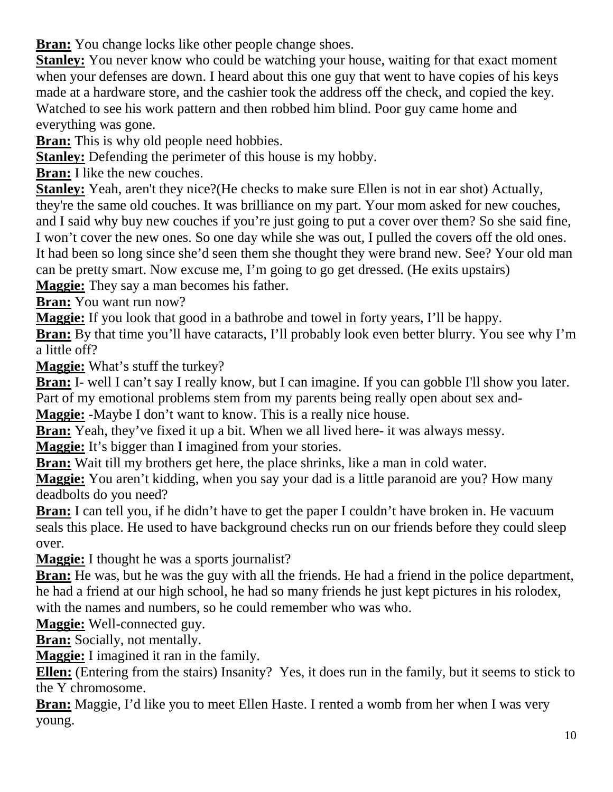**Bran:** You change locks like other people change shoes.

**Stanley:** You never know who could be watching your house, waiting for that exact moment when your defenses are down. I heard about this one guy that went to have copies of his keys made at a hardware store, and the cashier took the address off the check, and copied the key. Watched to see his work pattern and then robbed him blind. Poor guy came home and everything was gone.

**Bran:** This is why old people need hobbies.

**Stanley:** Defending the perimeter of this house is my hobby.

**Bran:** I like the new couches.

**Stanley:** Yeah, aren't they nice? (He checks to make sure Ellen is not in ear shot) Actually, they're the same old couches. It was brilliance on my part. Your mom asked for new couches, and I said why buy new couches if you're just going to put a cover over them? So she said fine, I won't cover the new ones. So one day while she was out, I pulled the covers off the old ones. It had been so long since she'd seen them she thought they were brand new. See? Your old man can be pretty smart. Now excuse me, I'm going to go get dressed. (He exits upstairs)

**Maggie:** They say a man becomes his father.

**Bran:** You want run now?

**Maggie:** If you look that good in a bathrobe and towel in forty years, I'll be happy.

**Bran:** By that time you'll have cataracts, I'll probably look even better blurry. You see why I'm a little off?

**Maggie:** What's stuff the turkey?

**Bran:** I- well I can't say I really know, but I can imagine. If you can gobble I'll show you later. Part of my emotional problems stem from my parents being really open about sex and-

**Maggie:** -Maybe I don't want to know. This is a really nice house.

**Bran:** Yeah, they've fixed it up a bit. When we all lived here- it was always messy.

**Maggie:** It's bigger than I imagined from your stories.

**Bran:** Wait till my brothers get here, the place shrinks, like a man in cold water.

**Maggie:** You aren't kidding, when you say your dad is a little paranoid are you? How many deadbolts do you need?

**Bran:** I can tell you, if he didn't have to get the paper I couldn't have broken in. He vacuum seals this place. He used to have background checks run on our friends before they could sleep over.

**Maggie:** I thought he was a sports journalist?

**Bran:** He was, but he was the guy with all the friends. He had a friend in the police department, he had a friend at our high school, he had so many friends he just kept pictures in his rolodex, with the names and numbers, so he could remember who was who.

**Maggie:** Well-connected guy.

**Bran:** Socially, not mentally.

**Maggie:** I imagined it ran in the family.

**Ellen:** (Entering from the stairs) Insanity? Yes, it does run in the family, but it seems to stick to the Y chromosome.

**Bran:** Maggie, I'd like you to meet Ellen Haste. I rented a womb from her when I was very young.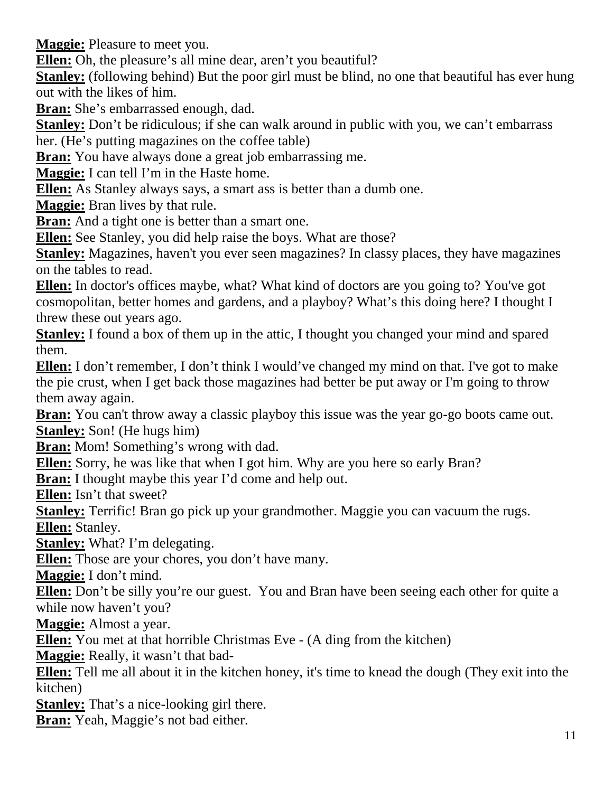**Maggie:** Pleasure to meet you.

**Ellen:** Oh, the pleasure's all mine dear, aren't you beautiful?

**Stanley:** (following behind) But the poor girl must be blind, no one that beautiful has ever hung out with the likes of him.

**Bran:** She's embarrassed enough, dad.

**Stanley:** Don't be ridiculous; if she can walk around in public with you, we can't embarrass

her. (He's putting magazines on the coffee table)

**Bran:** You have always done a great job embarrassing me.

**Maggie:** I can tell I'm in the Haste home.

**Ellen:** As Stanley always says, a smart ass is better than a dumb one.

**Maggie:** Bran lives by that rule.

**Bran:** And a tight one is better than a smart one.

**Ellen:** See Stanley, you did help raise the boys. What are those?

**Stanley:** Magazines, haven't you ever seen magazines? In classy places, they have magazines on the tables to read.

**Ellen:** In doctor's offices maybe, what? What kind of doctors are you going to? You've got cosmopolitan, better homes and gardens, and a playboy? What's this doing here? I thought I threw these out years ago.

**Stanley:** I found a box of them up in the attic, I thought you changed your mind and spared them.

**Ellen:** I don't remember, I don't think I would've changed my mind on that. I've got to make the pie crust, when I get back those magazines had better be put away or I'm going to throw them away again.

**Bran:** You can't throw away a classic playboy this issue was the year go-go boots came out. **Stanley:** Son! (He hugs him)

**Bran:** Mom! Something's wrong with dad.

**Ellen:** Sorry, he was like that when I got him. Why are you here so early Bran?

**Bran:** I thought maybe this year I'd come and help out.

**Ellen:** Isn't that sweet?

**Stanley:** Terrific! Bran go pick up your grandmother. Maggie you can vacuum the rugs. **Ellen:** Stanley.

**Stanley:** What? I'm delegating.

**Ellen:** Those are your chores, you don't have many.

**Maggie:** I don't mind.

**Ellen:** Don't be silly you're our guest. You and Bran have been seeing each other for quite a while now haven't you?

**Maggie:** Almost a year.

**Ellen:** You met at that horrible Christmas Eve - (A ding from the kitchen)

**Maggie:** Really, it wasn't that bad-

**Ellen:** Tell me all about it in the kitchen honey, it's time to knead the dough (They exit into the kitchen)

**Stanley:** That's a nice-looking girl there.

**Bran:** Yeah, Maggie's not bad either.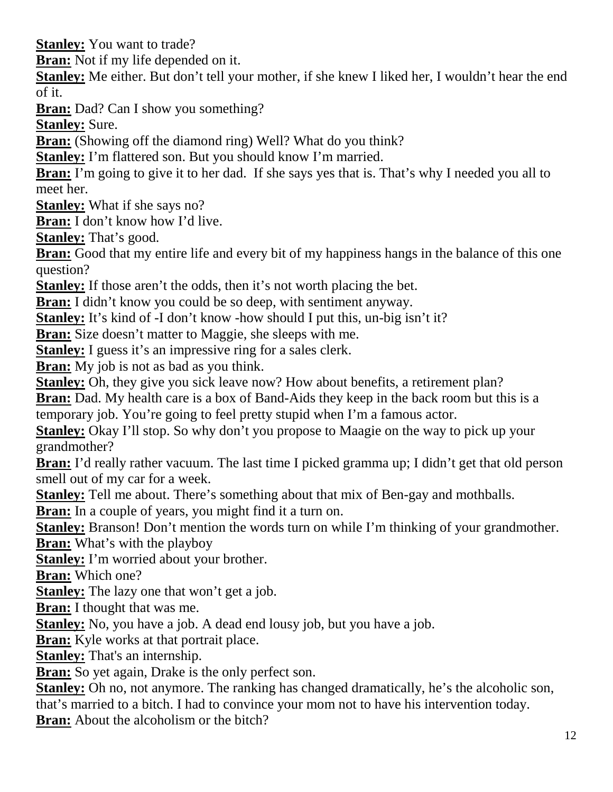**Stanley:** You want to trade?

**Bran:** Not if my life depended on it.

**Stanley:** Me either. But don't tell your mother, if she knew I liked her, I wouldn't hear the end of it.

**Bran:** Dad? Can I show you something?

**Stanley:** Sure.

**Bran:** (Showing off the diamond ring) Well? What do you think?

**Stanley:** I'm flattered son. But you should know I'm married.

**Bran:** I'm going to give it to her dad. If she says yes that is. That's why I needed you all to meet her.

**Stanley:** What if she says no?

**Bran:** I don't know how I'd live.

**Stanley:** That's good.

**Bran:** Good that my entire life and every bit of my happiness hangs in the balance of this one question?

**Stanley:** If those aren't the odds, then it's not worth placing the bet.

**Bran:** I didn't know you could be so deep, with sentiment anyway.

**Stanley:** It's kind of -I don't know -how should I put this, un-big isn't it?

**Bran:** Size doesn't matter to Maggie, she sleeps with me.

**Stanley:** I guess it's an impressive ring for a sales clerk.

**Bran:** My job is not as bad as you think.

**Stanley:** Oh, they give you sick leave now? How about benefits, a retirement plan?

**Bran:** Dad. My health care is a box of Band-Aids they keep in the back room but this is a temporary job. You're going to feel pretty stupid when I'm a famous actor.

**Stanley:** Okay I'll stop. So why don't you propose to Maagie on the way to pick up your grandmother?

**Bran:** I'd really rather vacuum. The last time I picked gramma up; I didn't get that old person smell out of my car for a week.

**Stanley:** Tell me about. There's something about that mix of Ben-gay and mothballs.

**Bran:** In a couple of years, you might find it a turn on.

**Stanley:** Branson! Don't mention the words turn on while I'm thinking of your grandmother.

**Bran:** What's with the playboy

**Stanley:** I'm worried about your brother.

**Bran:** Which one?

**Stanley:** The lazy one that won't get a job.

**Bran:** I thought that was me.

**Stanley:** No, you have a job. A dead end lousy job, but you have a job.

**Bran:** Kyle works at that portrait place.

**Stanley:** That's an internship.

**Bran:** So yet again, Drake is the only perfect son.

**Stanley:** Oh no, not anymore. The ranking has changed dramatically, he's the alcoholic son,

that's married to a bitch. I had to convince your mom not to have his intervention today.

**Bran:** About the alcoholism or the bitch?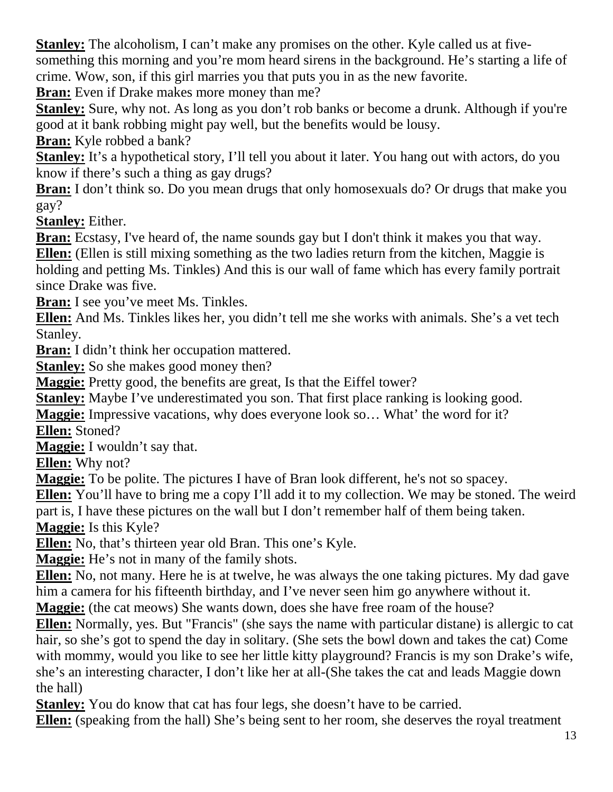**Stanley:** The alcoholism, I can't make any promises on the other. Kyle called us at fivesomething this morning and you're mom heard sirens in the background. He's starting a life of crime. Wow, son, if this girl marries you that puts you in as the new favorite.

**Bran:** Even if Drake makes more money than me?

**Stanley:** Sure, why not. As long as you don't rob banks or become a drunk. Although if you're good at it bank robbing might pay well, but the benefits would be lousy.

**Bran:** Kyle robbed a bank?

**Stanley:** It's a hypothetical story, I'll tell you about it later. You hang out with actors, do you know if there's such a thing as gay drugs?

**Bran:** I don't think so. Do you mean drugs that only homosexuals do? Or drugs that make you gay?

**Stanley:** Either.

**Bran:** Ecstasy, I've heard of, the name sounds gay but I don't think it makes you that way. **Ellen:** (Ellen is still mixing something as the two ladies return from the kitchen, Maggie is holding and petting Ms. Tinkles) And this is our wall of fame which has every family portrait since Drake was five.

**Bran:** I see you've meet Ms. Tinkles.

**Ellen:** And Ms. Tinkles likes her, you didn't tell me she works with animals. She's a vet tech Stanley.

**Bran:** I didn't think her occupation mattered.

**Stanley:** So she makes good money then?

**Maggie:** Pretty good, the benefits are great, Is that the Eiffel tower?

**Stanley:** Maybe I've underestimated you son. That first place ranking is looking good.

**Maggie:** Impressive vacations, why does everyone look so… What' the word for it? **Ellen:** Stoned?

**Maggie:** I wouldn't say that.

**Ellen:** Why not?

**Maggie:** To be polite. The pictures I have of Bran look different, he's not so spacey.

**Ellen:** You'll have to bring me a copy I'll add it to my collection. We may be stoned. The weird part is, I have these pictures on the wall but I don't remember half of them being taken.

**Maggie:** Is this Kyle?

**Ellen:** No, that's thirteen year old Bran. This one's Kyle.

**Maggie:** He's not in many of the family shots.

**Ellen:** No, not many. Here he is at twelve, he was always the one taking pictures. My dad gave him a camera for his fifteenth birthday, and I've never seen him go anywhere without it.

**Maggie:** (the cat meows) She wants down, does she have free roam of the house?

**Ellen:** Normally, yes. But "Francis" (she says the name with particular distane) is allergic to cat hair, so she's got to spend the day in solitary. (She sets the bowl down and takes the cat) Come with mommy, would you like to see her little kitty playground? Francis is my son Drake's wife, she's an interesting character, I don't like her at all-(She takes the cat and leads Maggie down the hall)

**Stanley:** You do know that cat has four legs, she doesn't have to be carried.

**Ellen:** (speaking from the hall) She's being sent to her room, she deserves the royal treatment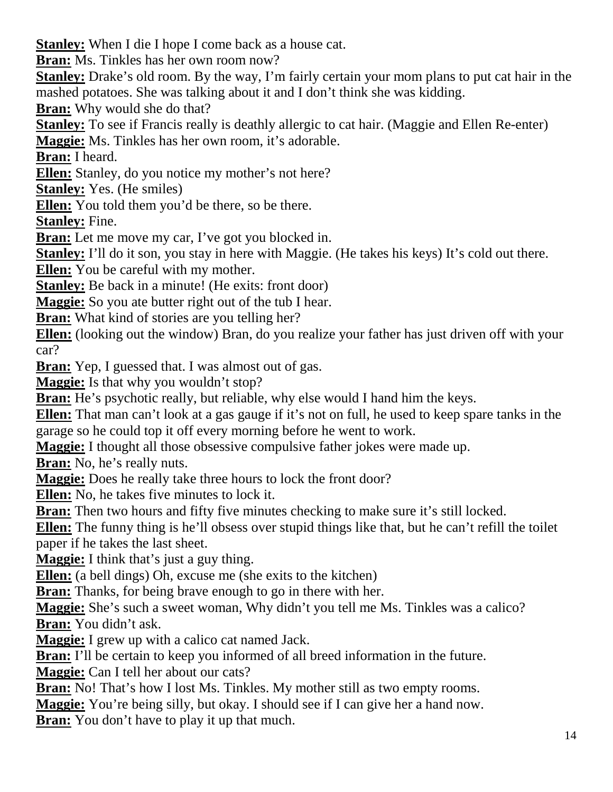**Stanley:** When I die I hope I come back as a house cat.

**Bran:** Ms. Tinkles has her own room now?

**Stanley:** Drake's old room. By the way, I'm fairly certain your mom plans to put cat hair in the mashed potatoes. She was talking about it and I don't think she was kidding.

**Bran:** Why would she do that?

**Stanley:** To see if Francis really is deathly allergic to cat hair. (Maggie and Ellen Re-enter)

**Maggie:** Ms. Tinkles has her own room, it's adorable.

**Bran:** I heard.

**Ellen:** Stanley, do you notice my mother's not here?

**Stanley:** Yes. (He smiles)

**Ellen:** You told them you'd be there, so be there.

**Stanley:** Fine.

**Bran:** Let me move my car, I've got you blocked in.

**Stanley:** I'll do it son, you stay in here with Maggie. (He takes his keys) It's cold out there.

**Ellen:** You be careful with my mother.

**Stanley:** Be back in a minute! (He exits: front door)

**Maggie:** So you ate butter right out of the tub I hear.

**Bran:** What kind of stories are you telling her?

**Ellen:** (looking out the window) Bran, do you realize your father has just driven off with your car?

**Bran:** Yep, I guessed that. I was almost out of gas.

**Maggie:** Is that why you wouldn't stop?

**Bran:** He's psychotic really, but reliable, why else would I hand him the keys.

**Ellen:** That man can't look at a gas gauge if it's not on full, he used to keep spare tanks in the garage so he could top it off every morning before he went to work.

**Maggie:** I thought all those obsessive compulsive father jokes were made up.

**Bran:** No, he's really nuts.

**Maggie:** Does he really take three hours to lock the front door?

**Ellen:** No, he takes five minutes to lock it.

**Bran:** Then two hours and fifty five minutes checking to make sure it's still locked.

**Ellen:** The funny thing is he'll obsess over stupid things like that, but he can't refill the toilet paper if he takes the last sheet.

**Maggie:** I think that's just a guy thing.

**Ellen:** (a bell dings) Oh, excuse me (she exits to the kitchen)

**Bran:** Thanks, for being brave enough to go in there with her.

**Maggie:** She's such a sweet woman, Why didn't you tell me Ms. Tinkles was a calico? **Bran:** You didn't ask.

**Maggie:** I grew up with a calico cat named Jack.

**Bran:** I'll be certain to keep you informed of all breed information in the future.

**Maggie:** Can I tell her about our cats?

**Bran:** No! That's how I lost Ms. Tinkles. My mother still as two empty rooms.

**Maggie:** You're being silly, but okay. I should see if I can give her a hand now.

**Bran:** You don't have to play it up that much.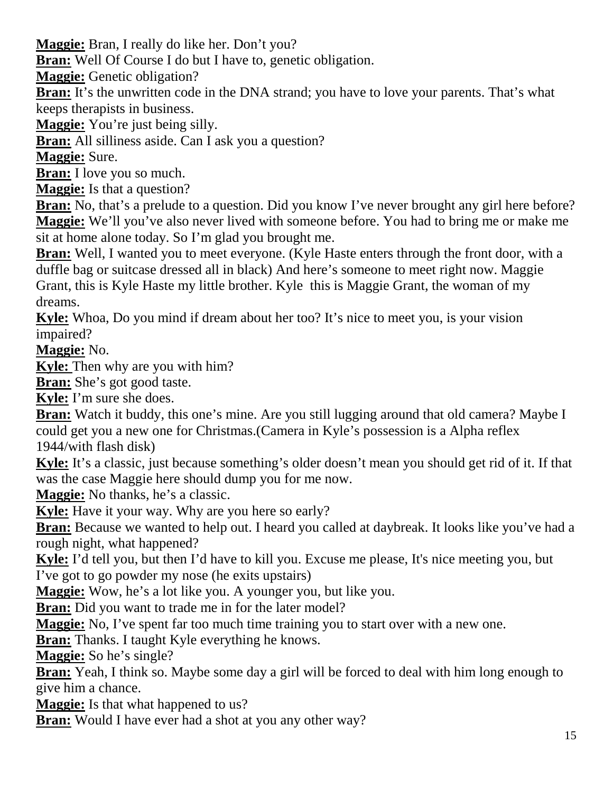**Maggie:** Bran, I really do like her. Don't you?

**Bran:** Well Of Course I do but I have to, genetic obligation.

**Maggie:** Genetic obligation?

**Bran:** It's the unwritten code in the DNA strand; you have to love your parents. That's what keeps therapists in business.

**Maggie:** You're just being silly.

**Bran:** All silliness aside. Can I ask you a question?

**Maggie:** Sure.

**Bran:** I love you so much.

**Maggie:** Is that a question?

**Bran:** No, that's a prelude to a question. Did you know I've never brought any girl here before? **Maggie:** We'll you've also never lived with someone before. You had to bring me or make me sit at home alone today. So I'm glad you brought me.

**Bran:** Well, I wanted you to meet everyone. (Kyle Haste enters through the front door, with a duffle bag or suitcase dressed all in black) And here's someone to meet right now. Maggie Grant, this is Kyle Haste my little brother. Kyle this is Maggie Grant, the woman of my dreams.

**Kyle:** Whoa, Do you mind if dream about her too? It's nice to meet you, is your vision impaired?

**Maggie:** No.

**Kyle:** Then why are you with him?

**Bran:** She's got good taste.

**Kyle:** I'm sure she does.

**Bran:** Watch it buddy, this one's mine. Are you still lugging around that old camera? Maybe I could get you a new one for Christmas.(Camera in Kyle's possession is a Alpha reflex 1944/with flash disk)

**Kyle:** It's a classic, just because something's older doesn't mean you should get rid of it. If that was the case Maggie here should dump you for me now.

**Maggie:** No thanks, he's a classic.

**Kyle:** Have it your way. Why are you here so early?

**Bran:** Because we wanted to help out. I heard you called at daybreak. It looks like you've had a rough night, what happened?

**Kyle:** I'd tell you, but then I'd have to kill you. Excuse me please, It's nice meeting you, but I've got to go powder my nose (he exits upstairs)

**Maggie:** Wow, he's a lot like you. A younger you, but like you.

**Bran:** Did you want to trade me in for the later model?

**Maggie:** No, I've spent far too much time training you to start over with a new one.

**Bran:** Thanks. I taught Kyle everything he knows.

**Maggie:** So he's single?

**Bran:** Yeah, I think so. Maybe some day a girl will be forced to deal with him long enough to give him a chance.

**Maggie:** Is that what happened to us?

**Bran:** Would I have ever had a shot at you any other way?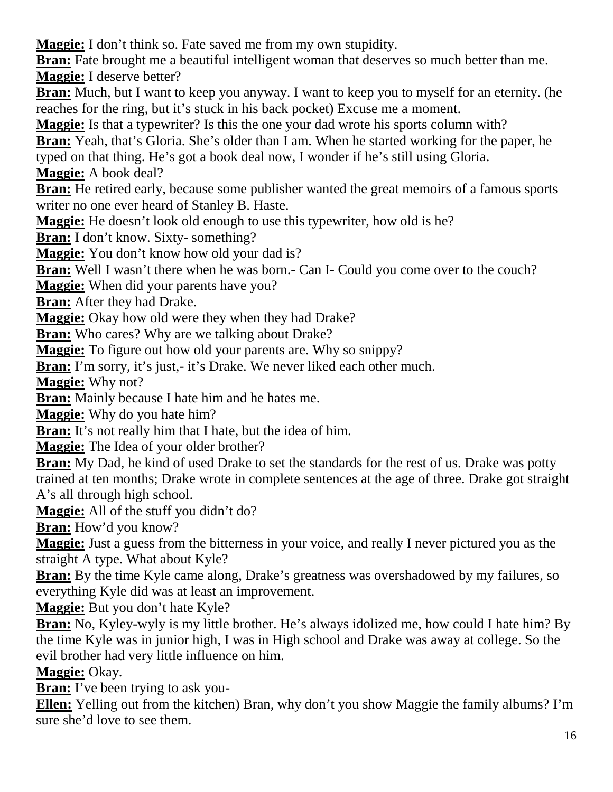**Maggie:** I don't think so. Fate saved me from my own stupidity.

**Bran:** Fate brought me a beautiful intelligent woman that deserves so much better than me. **Maggie:** I deserve better?

**Bran:** Much, but I want to keep you anyway. I want to keep you to myself for an eternity. (he reaches for the ring, but it's stuck in his back pocket) Excuse me a moment.

**Maggie:** Is that a typewriter? Is this the one your dad wrote his sports column with?

**Bran:** Yeah, that's Gloria. She's older than I am. When he started working for the paper, he typed on that thing. He's got a book deal now, I wonder if he's still using Gloria. **Maggie:** A book deal?

**Bran:** He retired early, because some publisher wanted the great memoirs of a famous sports writer no one ever heard of Stanley B. Haste.

**Maggie:** He doesn't look old enough to use this typewriter, how old is he?

**Bran:** I don't know. Sixty- something?

**Maggie:** You don't know how old your dad is?

**Bran:** Well I wasn't there when he was born.- Can I- Could you come over to the couch?

**Maggie:** When did your parents have you?

**Bran:** After they had Drake.

**Maggie:** Okay how old were they when they had Drake?

**Bran:** Who cares? Why are we talking about Drake?

**Maggie:** To figure out how old your parents are. Why so snippy?

**Bran:** I'm sorry, it's just,- it's Drake. We never liked each other much.

**Maggie:** Why not?

**Bran:** Mainly because I hate him and he hates me.

**Maggie:** Why do you hate him?

**Bran:** It's not really him that I hate, but the idea of him.

**Maggie:** The Idea of your older brother?

**Bran:** My Dad, he kind of used Drake to set the standards for the rest of us. Drake was potty trained at ten months; Drake wrote in complete sentences at the age of three. Drake got straight A's all through high school.

**Maggie:** All of the stuff you didn't do?

**Bran:** How'd you know?

**Maggie:** Just a guess from the bitterness in your voice, and really I never pictured you as the straight A type. What about Kyle?

**Bran:** By the time Kyle came along, Drake's greatness was overshadowed by my failures, so everything Kyle did was at least an improvement.

**Maggie:** But you don't hate Kyle?

**Bran:** No, Kyley-wyly is my little brother. He's always idolized me, how could I hate him? By the time Kyle was in junior high, I was in High school and Drake was away at college. So the evil brother had very little influence on him.

**Maggie:** Okay.

**Bran:** I've been trying to ask you-

**Ellen:** Yelling out from the kitchen) Bran, why don't you show Maggie the family albums? I'm sure she'd love to see them.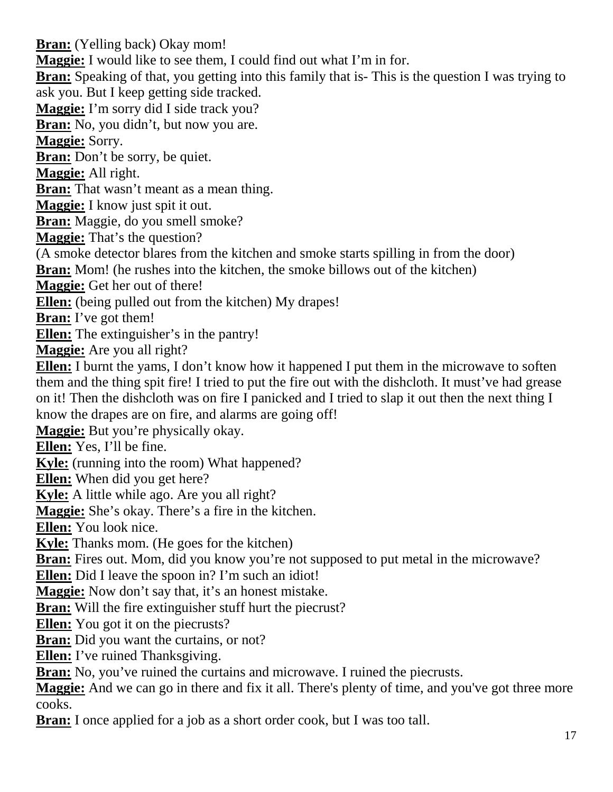**Bran:** (Yelling back) Okay mom! **Maggie:** I would like to see them, I could find out what I'm in for. **Bran:** Speaking of that, you getting into this family that is- This is the question I was trying to ask you. But I keep getting side tracked. **Maggie:** I'm sorry did I side track you? **Bran:** No, you didn't, but now you are. **Maggie:** Sorry. **Bran:** Don't be sorry, be quiet. **Maggie:** All right. **Bran:** That wasn't meant as a mean thing. **Maggie:** I know just spit it out. **Bran:** Maggie, do you smell smoke? **Maggie:** That's the question? (A smoke detector blares from the kitchen and smoke starts spilling in from the door) **Bran:** Mom! (he rushes into the kitchen, the smoke billows out of the kitchen) **Maggie:** Get her out of there! **Ellen:** (being pulled out from the kitchen) My drapes! **Bran:** I've got them! **Ellen:** The extinguisher's in the pantry! **Maggie:** Are you all right? **Ellen:** I burnt the yams, I don't know how it happened I put them in the microwave to soften them and the thing spit fire! I tried to put the fire out with the dishcloth. It must've had grease on it! Then the dishcloth was on fire I panicked and I tried to slap it out then the next thing I know the drapes are on fire, and alarms are going off! **Maggie:** But you're physically okay. **Ellen:** Yes, I'll be fine. **Kyle:** (running into the room) What happened? **Ellen:** When did you get here? **Kyle:** A little while ago. Are you all right? **Maggie:** She's okay. There's a fire in the kitchen. **Ellen:** You look nice. **Kyle:** Thanks mom. (He goes for the kitchen) **Bran:** Fires out. Mom, did you know you're not supposed to put metal in the microwave? **Ellen:** Did I leave the spoon in? I'm such an idiot! **Maggie:** Now don't say that, it's an honest mistake. **Bran:** Will the fire extinguisher stuff hurt the piecrust? **Ellen:** You got it on the piecrusts? **Bran:** Did you want the curtains, or not? **Ellen:** I've ruined Thanksgiving. **Bran:** No, you've ruined the curtains and microwave. I ruined the piecrusts. **Maggie:** And we can go in there and fix it all. There's plenty of time, and you've got three more cooks. **Bran:** I once applied for a job as a short order cook, but I was too tall.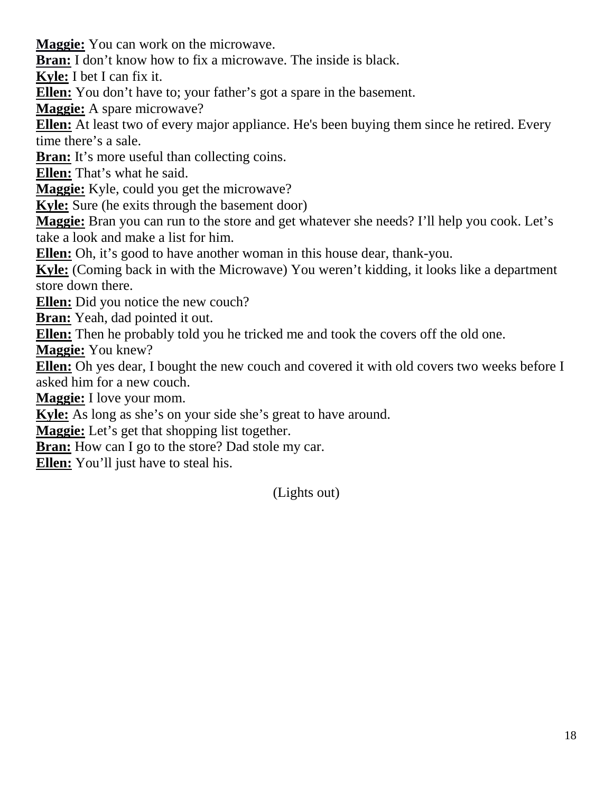**Maggie:** You can work on the microwave.

**Bran:** I don't know how to fix a microwave. The inside is black.

**Kyle:** I bet I can fix it.

**Ellen:** You don't have to; your father's got a spare in the basement.

**Maggie:** A spare microwave?

**Ellen:** At least two of every major appliance. He's been buying them since he retired. Every time there's a sale.

**Bran:** It's more useful than collecting coins.

**Ellen:** That's what he said.

**Maggie:** Kyle, could you get the microwave?

**Kyle:** Sure (he exits through the basement door)

**Maggie:** Bran you can run to the store and get whatever she needs? I'll help you cook. Let's take a look and make a list for him.

**Ellen:** Oh, it's good to have another woman in this house dear, thank-you.

**Kyle:** (Coming back in with the Microwave) You weren't kidding, it looks like a department store down there.

**Ellen:** Did you notice the new couch?

**Bran:** Yeah, dad pointed it out.

**Ellen:** Then he probably told you he tricked me and took the covers off the old one.

**Maggie:** You knew?

**Ellen:** Oh yes dear, I bought the new couch and covered it with old covers two weeks before I asked him for a new couch.

**Maggie:** I love your mom.

**Kyle:** As long as she's on your side she's great to have around.

**Maggie:** Let's get that shopping list together.

**Bran:** How can I go to the store? Dad stole my car.

**Ellen:** You'll just have to steal his.

(Lights out)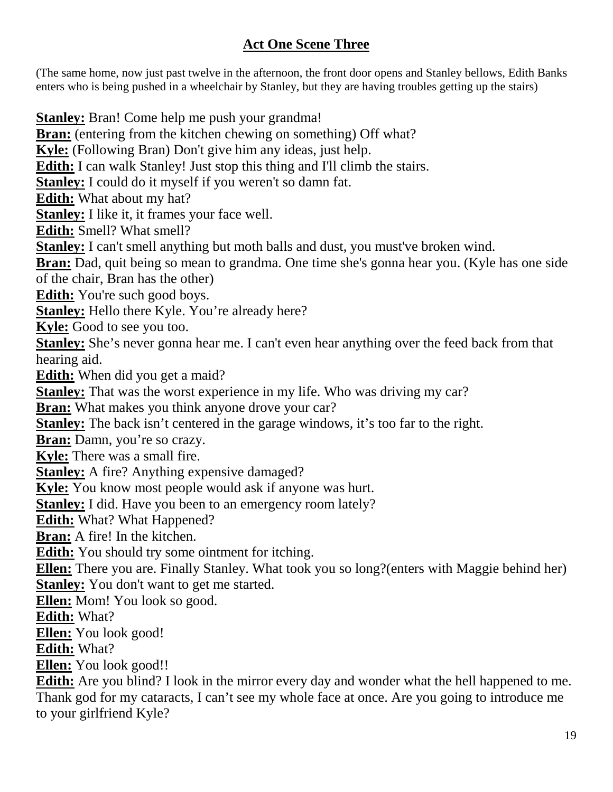## **Act One Scene Three**

(The same home, now just past twelve in the afternoon, the front door opens and Stanley bellows, Edith Banks enters who is being pushed in a wheelchair by Stanley, but they are having troubles getting up the stairs)

**Stanley:** Bran! Come help me push your grandma! **Bran:** (entering from the kitchen chewing on something) Off what? **Kyle:** (Following Bran) Don't give him any ideas, just help. **Edith:** I can walk Stanley! Just stop this thing and I'll climb the stairs. **Stanley:** I could do it myself if you weren't so damn fat. **Edith:** What about my hat? **Stanley:** I like it, it frames your face well. **Edith:** Smell? What smell? **Stanley:** I can't smell anything but moth balls and dust, you must've broken wind. **Bran:** Dad, quit being so mean to grandma. One time she's gonna hear you. (Kyle has one side of the chair, Bran has the other) **Edith:** You're such good boys. Stanley: Hello there Kyle. You're already here? **Kyle:** Good to see you too. **Stanley:** She's never gonna hear me. I can't even hear anything over the feed back from that hearing aid. **Edith:** When did you get a maid? **Stanley:** That was the worst experience in my life. Who was driving my car? **Bran:** What makes you think anyone drove your car? **Stanley:** The back isn't centered in the garage windows, it's too far to the right. **Bran:** Damn, you're so crazy. **Kyle:** There was a small fire. **Stanley:** A fire? Anything expensive damaged? **Kyle:** You know most people would ask if anyone was hurt. **Stanley:** I did. Have you been to an emergency room lately? **Edith:** What? What Happened? **Bran:** A fire! In the kitchen. **Edith:** You should try some ointment for itching. **Ellen:** There you are. Finally Stanley. What took you so long?(enters with Maggie behind her) **Stanley:** You don't want to get me started. **Ellen:** Mom! You look so good. **Edith:** What? **Ellen:** You look good! **Edith:** What? **Ellen:** You look good!! **Edith:** Are you blind? I look in the mirror every day and wonder what the hell happened to me. Thank god for my cataracts, I can't see my whole face at once. Are you going to introduce me

to your girlfriend Kyle?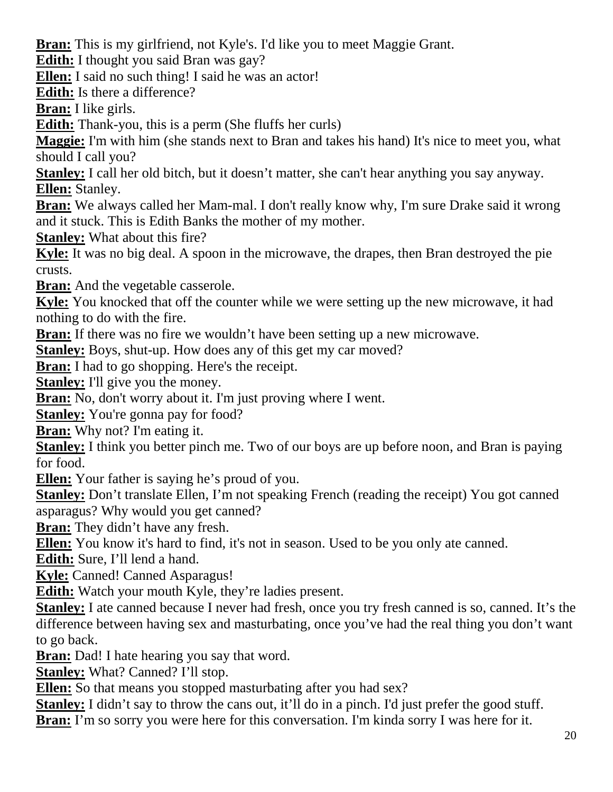**Bran:** This is my girlfriend, not Kyle's. I'd like you to meet Maggie Grant.

**Edith:** I thought you said Bran was gay?

**Ellen:** I said no such thing! I said he was an actor!

**Edith:** Is there a difference?

**Bran:** I like girls.

**Edith:** Thank-you, this is a perm (She fluffs her curls)

**Maggie:** I'm with him (she stands next to Bran and takes his hand) It's nice to meet you, what should I call you?

**Stanley:** I call her old bitch, but it doesn't matter, she can't hear anything you say anyway. **Ellen:** Stanley.

**Bran:** We always called her Mam-mal. I don't really know why, I'm sure Drake said it wrong and it stuck. This is Edith Banks the mother of my mother.

**Stanley:** What about this fire?

**Kyle:** It was no big deal. A spoon in the microwave, the drapes, then Bran destroyed the pie crusts.

**Bran:** And the vegetable casserole.

**Kyle:** You knocked that off the counter while we were setting up the new microwave, it had nothing to do with the fire.

**Bran:** If there was no fire we wouldn't have been setting up a new microwave.

**Stanley:** Boys, shut-up. How does any of this get my car moved?

**Bran:** I had to go shopping. Here's the receipt.

**Stanley:** I'll give you the money.

**Bran:** No, don't worry about it. I'm just proving where I went.

**Stanley:** You're gonna pay for food?

**Bran:** Why not? I'm eating it.

**Stanley:** I think you better pinch me. Two of our boys are up before noon, and Bran is paying for food.

**Ellen:** Your father is saying he's proud of you.

**Stanley:** Don't translate Ellen, I'm not speaking French (reading the receipt) You got canned asparagus? Why would you get canned?

**Bran:** They didn't have any fresh.

**Ellen:** You know it's hard to find, it's not in season. Used to be you only ate canned.

**Edith:** Sure, I'll lend a hand.

**Kyle:** Canned! Canned Asparagus!

**Edith:** Watch your mouth Kyle, they're ladies present.

**Stanley:** I ate canned because I never had fresh, once you try fresh canned is so, canned. It's the difference between having sex and masturbating, once you've had the real thing you don't want to go back.

**Bran:** Dad! I hate hearing you say that word.

**Stanley:** What? Canned? I'll stop.

**Ellen:** So that means you stopped masturbating after you had sex?

**Stanley:** I didn't say to throw the cans out, it'll do in a pinch. I'd just prefer the good stuff.

**Bran:** I'm so sorry you were here for this conversation. I'm kinda sorry I was here for it.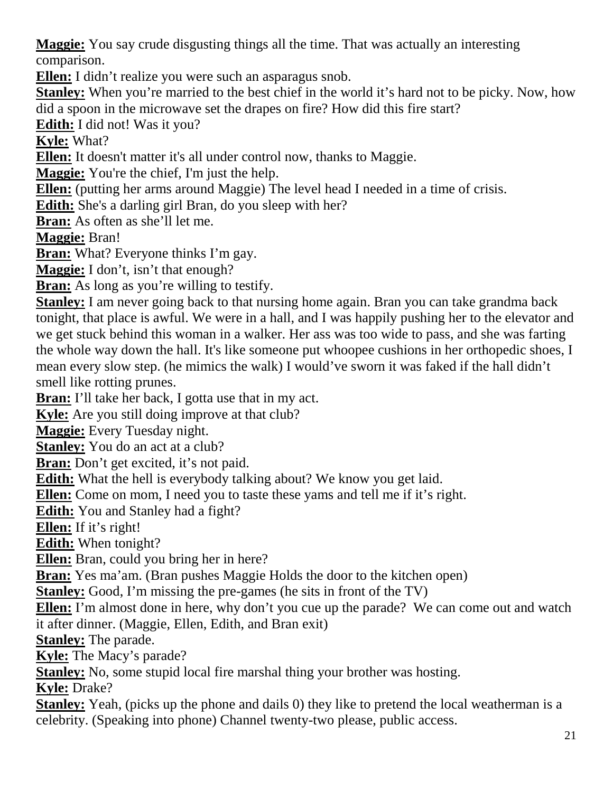**Maggie:** You say crude disgusting things all the time. That was actually an interesting comparison.

**Ellen:** I didn't realize you were such an asparagus snob.

**Stanley:** When you're married to the best chief in the world it's hard not to be picky. Now, how did a spoon in the microwave set the drapes on fire? How did this fire start?

**Edith:** I did not! Was it you?

**Kyle:** What?

**Ellen:** It doesn't matter it's all under control now, thanks to Maggie.

**Maggie:** You're the chief, I'm just the help.

**Ellen:** (putting her arms around Maggie) The level head I needed in a time of crisis.

**Edith:** She's a darling girl Bran, do you sleep with her?

**Bran:** As often as she'll let me.

**Maggie:** Bran!

**Bran:** What? Everyone thinks I'm gay.

**Maggie:** I don't, isn't that enough?

**Bran:** As long as you're willing to testify.

**Stanley:** I am never going back to that nursing home again. Bran you can take grandma back tonight, that place is awful. We were in a hall, and I was happily pushing her to the elevator and we get stuck behind this woman in a walker. Her ass was too wide to pass, and she was farting the whole way down the hall. It's like someone put whoopee cushions in her orthopedic shoes, I mean every slow step. (he mimics the walk) I would've sworn it was faked if the hall didn't smell like rotting prunes.

**Bran:** I'll take her back, I gotta use that in my act.

**Kyle:** Are you still doing improve at that club?

**Maggie:** Every Tuesday night.

**Stanley:** You do an act at a club?

**Bran:** Don't get excited, it's not paid.

**Edith:** What the hell is everybody talking about? We know you get laid.

**Ellen:** Come on mom, I need you to taste these yams and tell me if it's right.

**Edith:** You and Stanley had a fight?

**Ellen:** If it's right!

**Edith:** When tonight?

**Ellen:** Bran, could you bring her in here?

**Bran:** Yes ma'am. (Bran pushes Maggie Holds the door to the kitchen open)

**Stanley:** Good, I'm missing the pre-games (he sits in front of the TV)

**Ellen:** I'm almost done in here, why don't you cue up the parade? We can come out and watch it after dinner. (Maggie, Ellen, Edith, and Bran exit)

**Stanley:** The parade.

**Kyle:** The Macy's parade?

**Stanley:** No, some stupid local fire marshal thing your brother was hosting.

**Kyle:** Drake?

**Stanley:** Yeah, (picks up the phone and dails 0) they like to pretend the local weatherman is a celebrity. (Speaking into phone) Channel twenty-two please, public access.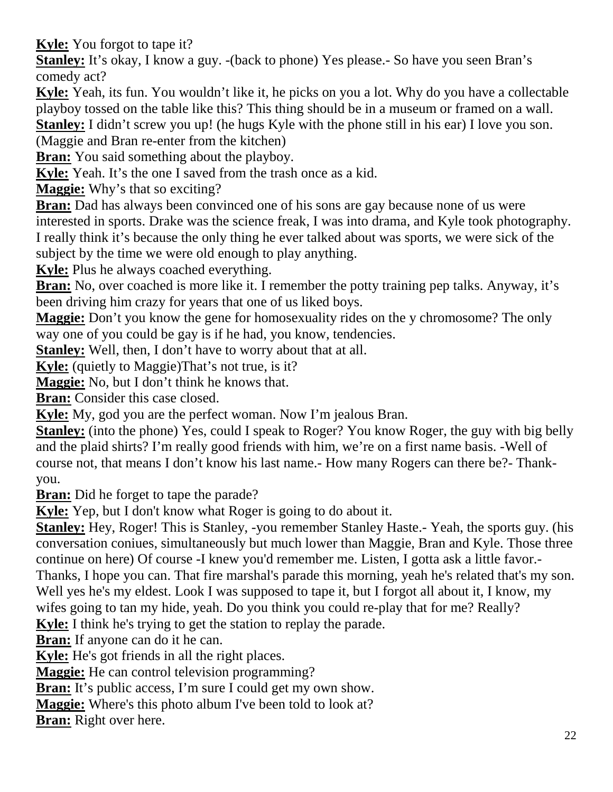**Kyle:** You forgot to tape it?

**Stanley:** It's okay, I know a guy. -(back to phone) Yes please.- So have you seen Bran's comedy act?

**Kyle:** Yeah, its fun. You wouldn't like it, he picks on you a lot. Why do you have a collectable playboy tossed on the table like this? This thing should be in a museum or framed on a wall.

**Stanley:** I didn't screw you up! (he hugs Kyle with the phone still in his ear) I love you son.

(Maggie and Bran re-enter from the kitchen)

**Bran:** You said something about the playboy.

**Kyle:** Yeah. It's the one I saved from the trash once as a kid.

**Maggie:** Why's that so exciting?

**Bran:** Dad has always been convinced one of his sons are gay because none of us were interested in sports. Drake was the science freak, I was into drama, and Kyle took photography. I really think it's because the only thing he ever talked about was sports, we were sick of the subject by the time we were old enough to play anything.

**Kyle:** Plus he always coached everything.

**Bran:** No, over coached is more like it. I remember the potty training pep talks. Anyway, it's been driving him crazy for years that one of us liked boys.

**Maggie:** Don't you know the gene for homosexuality rides on the y chromosome? The only way one of you could be gay is if he had, you know, tendencies.

**Stanley:** Well, then, I don't have to worry about that at all.

**Kyle:** (quietly to Maggie)That's not true, is it?

**Maggie:** No, but I don't think he knows that.

**Bran:** Consider this case closed.

**Kyle:** My, god you are the perfect woman. Now I'm jealous Bran.

**Stanley:** (into the phone) Yes, could I speak to Roger? You know Roger, the guy with big belly and the plaid shirts? I'm really good friends with him, we're on a first name basis. -Well of course not, that means I don't know his last name.- How many Rogers can there be?- Thankyou.

**Bran:** Did he forget to tape the parade?

**Kyle:** Yep, but I don't know what Roger is going to do about it.

**Stanley:** Hey, Roger! This is Stanley, -you remember Stanley Haste.- Yeah, the sports guy. (his conversation coniues, simultaneously but much lower than Maggie, Bran and Kyle. Those three continue on here) Of course -I knew you'd remember me. Listen, I gotta ask a little favor.- Thanks, I hope you can. That fire marshal's parade this morning, yeah he's related that's my son. Well yes he's my eldest. Look I was supposed to tape it, but I forgot all about it, I know, my wifes going to tan my hide, yeah. Do you think you could re-play that for me? Really?

**Kyle:** I think he's trying to get the station to replay the parade.

**Bran:** If anyone can do it he can.

**Kyle:** He's got friends in all the right places.

**Maggie:** He can control television programming?

**Bran:** It's public access, I'm sure I could get my own show.

**Maggie:** Where's this photo album I've been told to look at?

**Bran:** Right over here.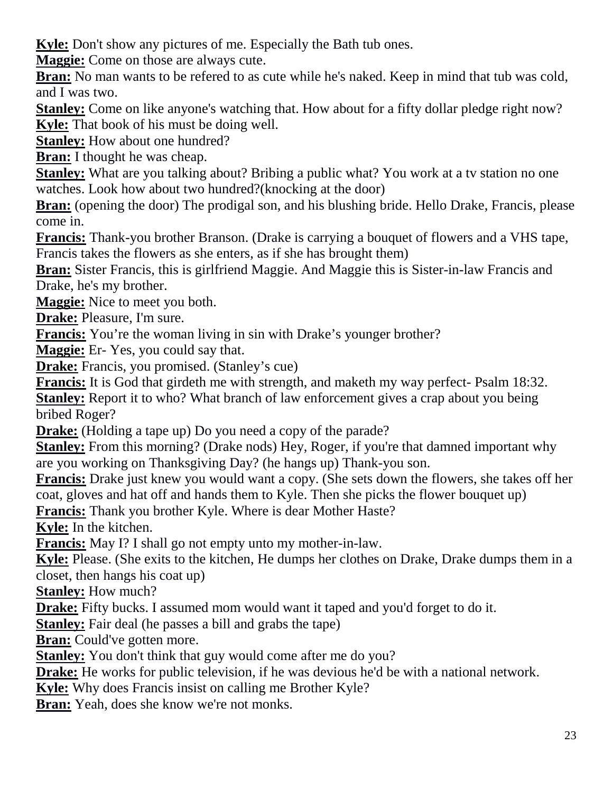**Kyle:** Don't show any pictures of me. Especially the Bath tub ones.

**Maggie:** Come on those are always cute.

**Bran:** No man wants to be refered to as cute while he's naked. Keep in mind that tub was cold, and I was two.

**Stanley:** Come on like anyone's watching that. How about for a fifty dollar pledge right now? **Kyle:** That book of his must be doing well.

**Stanley:** How about one hundred?

**Bran:** I thought he was cheap.

**Stanley:** What are you talking about? Bribing a public what? You work at a tv station no one watches. Look how about two hundred?(knocking at the door)

**Bran:** (opening the door) The prodigal son, and his blushing bride. Hello Drake, Francis, please come in.

**Francis:** Thank-you brother Branson. (Drake is carrying a bouquet of flowers and a VHS tape, Francis takes the flowers as she enters, as if she has brought them)

**Bran:** Sister Francis, this is girlfriend Maggie. And Maggie this is Sister-in-law Francis and Drake, he's my brother.

**Maggie:** Nice to meet you both.

**Drake:** Pleasure, I'm sure.

**Francis:** You're the woman living in sin with Drake's younger brother?

**Maggie:** Er- Yes, you could say that.

**Drake:** Francis, you promised. (Stanley's cue)

**Francis:** It is God that girdeth me with strength, and maketh my way perfect- Psalm 18:32.

**Stanley:** Report it to who? What branch of law enforcement gives a crap about you being bribed Roger?

**Drake:** (Holding a tape up) Do you need a copy of the parade?

**Stanley:** From this morning? (Drake nods) Hey, Roger, if you're that damned important why are you working on Thanksgiving Day? (he hangs up) Thank-you son.

**Francis:** Drake just knew you would want a copy. (She sets down the flowers, she takes off her coat, gloves and hat off and hands them to Kyle. Then she picks the flower bouquet up)

**Francis:** Thank you brother Kyle. Where is dear Mother Haste?

**Kyle:** In the kitchen.

**Francis:** May I? I shall go not empty unto my mother-in-law.

**Kyle:** Please. (She exits to the kitchen, He dumps her clothes on Drake, Drake dumps them in a closet, then hangs his coat up)

**Stanley:** How much?

**Drake:** Fifty bucks. I assumed mom would want it taped and you'd forget to do it.

**Stanley:** Fair deal (he passes a bill and grabs the tape)

**Bran:** Could've gotten more.

**Stanley:** You don't think that guy would come after me do you?

**Drake:** He works for public television, if he was devious he'd be with a national network.

**Kyle:** Why does Francis insist on calling me Brother Kyle?

**Bran:** Yeah, does she know we're not monks.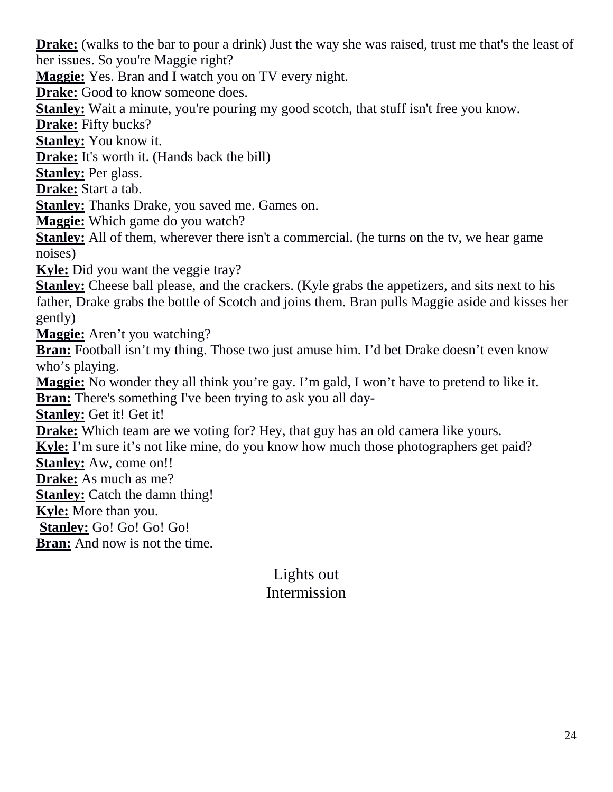**Drake:** (walks to the bar to pour a drink) Just the way she was raised, trust me that's the least of her issues. So you're Maggie right?

**Maggie:** Yes. Bran and I watch you on TV every night.

**Drake:** Good to know someone does.

**Stanley:** Wait a minute, you're pouring my good scotch, that stuff isn't free you know.

**Drake:** Fifty bucks?

**Stanley:** You know it.

**Drake:** It's worth it. (Hands back the bill)

**Stanley:** Per glass.

**Drake:** Start a tab.

**Stanley:** Thanks Drake, you saved me. Games on.

**Maggie:** Which game do you watch?

**Stanley:** All of them, wherever there isn't a commercial. (he turns on the tv, we hear game noises)

**Kyle:** Did you want the veggie tray?

**Stanley:** Cheese ball please, and the crackers. (Kyle grabs the appetizers, and sits next to his father, Drake grabs the bottle of Scotch and joins them. Bran pulls Maggie aside and kisses her gently)

**Maggie:** Aren't you watching?

**Bran:** Football isn't my thing. Those two just amuse him. I'd bet Drake doesn't even know who's playing.

**Maggie:** No wonder they all think you're gay. I'm gald, I won't have to pretend to like it.

**Bran:** There's something I've been trying to ask you all day-

**Stanley:** Get it! Get it!

**Drake:** Which team are we voting for? Hey, that guy has an old camera like yours.

**Kyle:** I'm sure it's not like mine, do you know how much those photographers get paid?

**Stanley:** Aw, come on!!

**Drake:** As much as me?

**Stanley:** Catch the damn thing!

**Kyle:** More than you.

**Stanley:** Go! Go! Go! Go!

**Bran:** And now is not the time.

# Lights out Intermission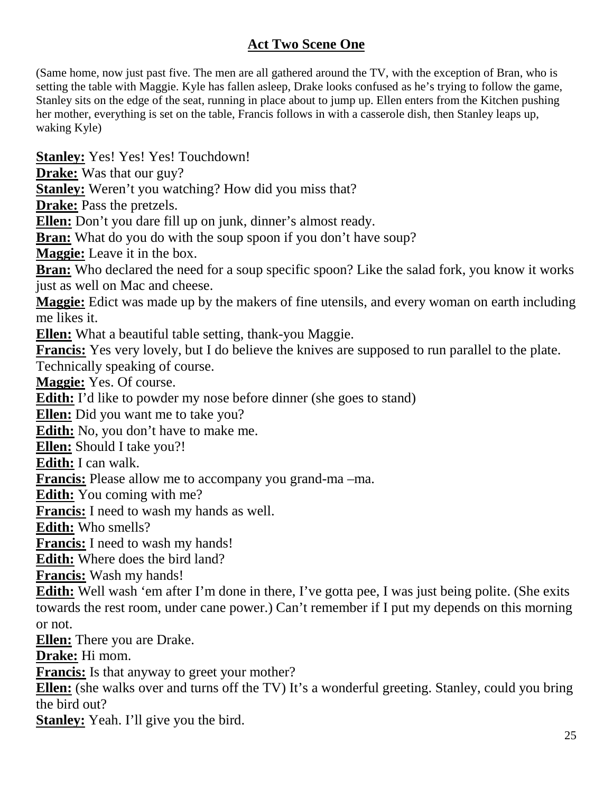## **Act Two Scene One**

(Same home, now just past five. The men are all gathered around the TV, with the exception of Bran, who is setting the table with Maggie. Kyle has fallen asleep, Drake looks confused as he's trying to follow the game, Stanley sits on the edge of the seat, running in place about to jump up. Ellen enters from the Kitchen pushing her mother, everything is set on the table, Francis follows in with a casserole dish, then Stanley leaps up, waking Kyle)

**Stanley:** Yes! Yes! Yes! Touchdown!

**Drake:** Was that our guy?

**Stanley:** Weren't you watching? How did you miss that?

**Drake:** Pass the pretzels.

**Ellen:** Don't you dare fill up on junk, dinner's almost ready.

**Bran:** What do you do with the soup spoon if you don't have soup?

**Maggie:** Leave it in the box.

**Bran:** Who declared the need for a soup specific spoon? Like the salad fork, you know it works just as well on Mac and cheese.

**Maggie:** Edict was made up by the makers of fine utensils, and every woman on earth including me likes it.

**Ellen:** What a beautiful table setting, thank-you Maggie.

**Francis:** Yes very lovely, but I do believe the knives are supposed to run parallel to the plate. Technically speaking of course.

**Maggie:** Yes. Of course.

**Edith:** I'd like to powder my nose before dinner (she goes to stand)

**Ellen:** Did you want me to take you?

**Edith:** No, you don't have to make me.

**Ellen:** Should I take you?!

**Edith:** I can walk.

**Francis:** Please allow me to accompany you grand-ma –ma.

**Edith:** You coming with me?

**Francis:** I need to wash my hands as well.

**Edith:** Who smells?

**Francis:** I need to wash my hands!

**Edith:** Where does the bird land?

**Francis:** Wash my hands!

**Edith:** Well wash 'em after I'm done in there, I've gotta pee, I was just being polite. (She exits towards the rest room, under cane power.) Can't remember if I put my depends on this morning or not.

**Ellen:** There you are Drake.

**Drake:** Hi mom.

**Francis:** Is that anyway to greet your mother?

**Ellen:** (she walks over and turns off the TV) It's a wonderful greeting. Stanley, could you bring the bird out?

**Stanley:** Yeah. I'll give you the bird.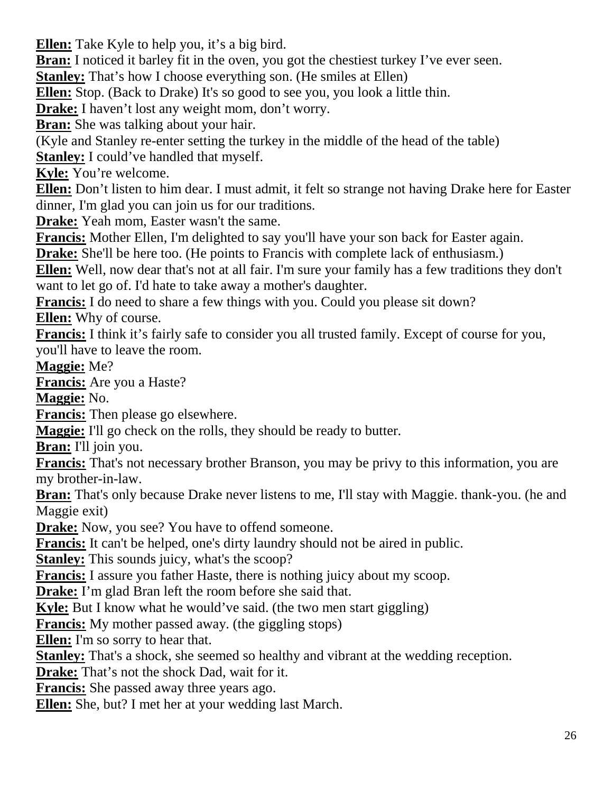**Ellen:** Take Kyle to help you, it's a big bird.

**Bran:** I noticed it barley fit in the oven, you got the chestiest turkey I've ever seen.

**Stanley:** That's how I choose everything son. (He smiles at Ellen)

**Ellen:** Stop. (Back to Drake) It's so good to see you, you look a little thin.

**Drake:** I haven't lost any weight mom, don't worry.

**Bran:** She was talking about your hair.

(Kyle and Stanley re-enter setting the turkey in the middle of the head of the table) **Stanley:** I could've handled that myself.

**Kyle:** You're welcome.

**Ellen:** Don't listen to him dear. I must admit, it felt so strange not having Drake here for Easter dinner, I'm glad you can join us for our traditions.

**Drake:** Yeah mom, Easter wasn't the same.

**Francis:** Mother Ellen, I'm delighted to say you'll have your son back for Easter again.

**Drake:** She'll be here too. (He points to Francis with complete lack of enthusiasm.)

**Ellen:** Well, now dear that's not at all fair. I'm sure your family has a few traditions they don't want to let go of. I'd hate to take away a mother's daughter.

**Francis:** I do need to share a few things with you. Could you please sit down? **Ellen:** Why of course.

**Francis:** I think it's fairly safe to consider you all trusted family. Except of course for you, you'll have to leave the room.

**Maggie:** Me?

**Francis:** Are you a Haste?

**Maggie:** No.

**Francis:** Then please go elsewhere.

**Maggie:** I'll go check on the rolls, they should be ready to butter.

**Bran:** I'll join you.

**Francis:** That's not necessary brother Branson, you may be privy to this information, you are my brother-in-law.

**Bran:** That's only because Drake never listens to me, I'll stay with Maggie. thank-you. (he and Maggie exit)

**Drake:** Now, you see? You have to offend someone.

**Francis:** It can't be helped, one's dirty laundry should not be aired in public.

**Stanley:** This sounds juicy, what's the scoop?

**Francis:** I assure you father Haste, there is nothing juicy about my scoop.

**Drake:** I'm glad Bran left the room before she said that.

**Kyle:** But I know what he would've said. (the two men start giggling)

**Francis:** My mother passed away. (the giggling stops)

**Ellen:** I'm so sorry to hear that.

**Stanley:** That's a shock, she seemed so healthy and vibrant at the wedding reception.

**Drake:** That's not the shock Dad, wait for it.

**Francis:** She passed away three years ago.

**Ellen:** She, but? I met her at your wedding last March.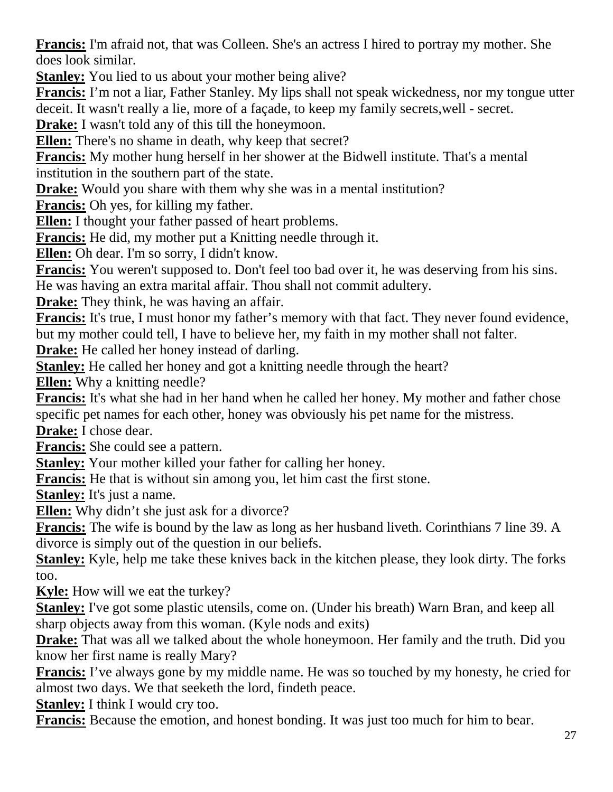**Francis:** I'm afraid not, that was Colleen. She's an actress I hired to portray my mother. She does look similar.

**Stanley:** You lied to us about your mother being alive?

**Francis:** I'm not a liar, Father Stanley. My lips shall not speak wickedness, nor my tongue utter deceit. It wasn't really a lie, more of a façade, to keep my family secrets,well - secret.

**Drake:** I wasn't told any of this till the honeymoon.

**Ellen:** There's no shame in death, why keep that secret?

**Francis:** My mother hung herself in her shower at the Bidwell institute. That's a mental institution in the southern part of the state.

**Drake:** Would you share with them why she was in a mental institution?

**Francis:** Oh yes, for killing my father.

**Ellen:** I thought your father passed of heart problems.

**Francis:** He did, my mother put a Knitting needle through it.

**Ellen:** Oh dear. I'm so sorry, I didn't know.

**Francis:** You weren't supposed to. Don't feel too bad over it, he was deserving from his sins.

He was having an extra marital affair. Thou shall not commit adultery.

**Drake:** They think, he was having an affair.

**Francis:** It's true, I must honor my father's memory with that fact. They never found evidence, but my mother could tell, I have to believe her, my faith in my mother shall not falter.

**Drake:** He called her honey instead of darling.

**Stanley:** He called her honey and got a knitting needle through the heart?

**Ellen:** Why a knitting needle?

**Francis:** It's what she had in her hand when he called her honey. My mother and father chose specific pet names for each other, honey was obviously his pet name for the mistress.

**Drake:** I chose dear.

**Francis:** She could see a pattern.

**Stanley:** Your mother killed your father for calling her honey.

**Francis:** He that is without sin among you, let him cast the first stone.

**Stanley:** It's just a name.

**Ellen:** Why didn't she just ask for a divorce?

**Francis:** The wife is bound by the law as long as her husband liveth. Corinthians 7 line 39. A divorce is simply out of the question in our beliefs.

**Stanley:** Kyle, help me take these knives back in the kitchen please, they look dirty. The forks too.

**Kyle:** How will we eat the turkey?

**Stanley:** I've got some plastic utensils, come on. (Under his breath) Warn Bran, and keep all sharp objects away from this woman. (Kyle nods and exits)

**Drake:** That was all we talked about the whole honeymoon. Her family and the truth. Did you know her first name is really Mary?

**Francis:** I've always gone by my middle name. He was so touched by my honesty, he cried for almost two days. We that seeketh the lord, findeth peace.

**Stanley:** I think I would cry too.

**Francis:** Because the emotion, and honest bonding. It was just too much for him to bear.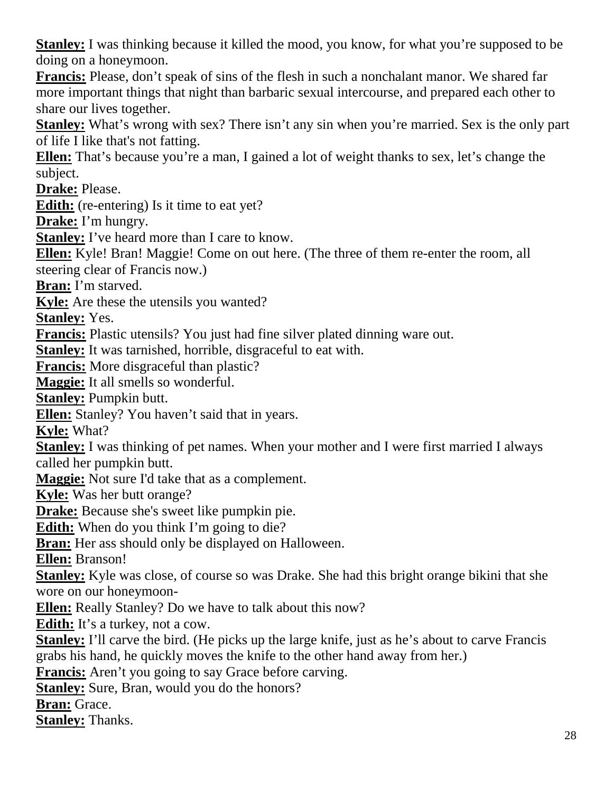**Stanley:** I was thinking because it killed the mood, you know, for what you're supposed to be doing on a honeymoon.

**Francis:** Please, don't speak of sins of the flesh in such a nonchalant manor. We shared far more important things that night than barbaric sexual intercourse, and prepared each other to share our lives together.

**Stanley:** What's wrong with sex? There isn't any sin when you're married. Sex is the only part of life I like that's not fatting.

**Ellen:** That's because you're a man, I gained a lot of weight thanks to sex, let's change the subject.

**Drake:** Please.

**Edith:** (re-entering) Is it time to eat yet?

**Drake:** I'm hungry.

**Stanley:** I've heard more than I care to know.

**Ellen:** Kyle! Bran! Maggie! Come on out here. (The three of them re-enter the room, all steering clear of Francis now.)

**Bran:** I'm starved.

**Kyle:** Are these the utensils you wanted?

**Stanley:** Yes.

**Francis:** Plastic utensils? You just had fine silver plated dinning ware out.

**Stanley:** It was tarnished, horrible, disgraceful to eat with.

**Francis:** More disgraceful than plastic?

**Maggie:** It all smells so wonderful.

**Stanley:** Pumpkin butt.

**Ellen:** Stanley? You haven't said that in years.

**Kyle:** What?

**Stanley:** I was thinking of pet names. When your mother and I were first married I always called her pumpkin butt.

**Maggie:** Not sure I'd take that as a complement.

**Kyle:** Was her butt orange?

**Drake:** Because she's sweet like pumpkin pie.

**Edith:** When do you think I'm going to die?

**Bran:** Her ass should only be displayed on Halloween.

**Ellen:** Branson!

**Stanley:** Kyle was close, of course so was Drake. She had this bright orange bikini that she wore on our honeymoon-

**Ellen:** Really Stanley? Do we have to talk about this now?

**Edith:** It's a turkey, not a cow.

**Stanley:** I'll carve the bird. (He picks up the large knife, just as he's about to carve Francis grabs his hand, he quickly moves the knife to the other hand away from her.)

**Francis:** Aren't you going to say Grace before carving.

**Stanley:** Sure, Bran, would you do the honors?

**Bran:** Grace.

**Stanley:** Thanks.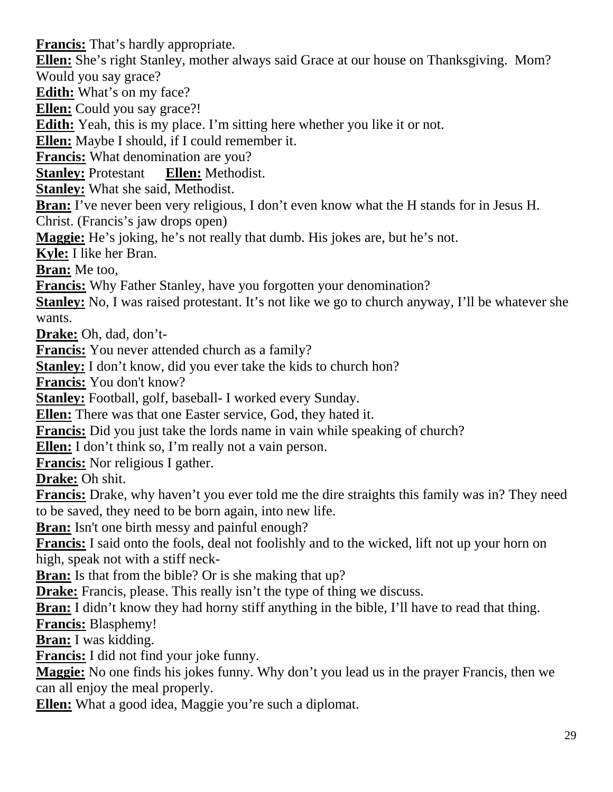**Francis:** That's hardly appropriate.

**Ellen:** She's right Stanley, mother always said Grace at our house on Thanksgiving. Mom? Would you say grace?

**Edith:** What's on my face?

**Ellen:** Could you say grace?!

**Edith:** Yeah, this is my place. I'm sitting here whether you like it or not.

**Ellen:** Maybe I should, if I could remember it.

**Francis:** What denomination are you?

**Stanley:** Protestant **Ellen:** Methodist.

**Stanley:** What she said, Methodist.

**Bran:** I've never been very religious, I don't even know what the H stands for in Jesus H.

Christ. (Francis's jaw drops open)

**Maggie:** He's joking, he's not really that dumb. His jokes are, but he's not.

**Kyle:** I like her Bran.

**Bran:** Me too,

**Francis:** Why Father Stanley, have you forgotten your denomination?

**Stanley:** No, I was raised protestant. It's not like we go to church anyway, I'll be whatever she wants.

**Drake:** Oh, dad, don't-

**Francis:** You never attended church as a family?

**Stanley:** I don't know, did you ever take the kids to church hon?

**Francis:** You don't know?

**Stanley:** Football, golf, baseball- I worked every Sunday.

**Ellen:** There was that one Easter service, God, they hated it.

**Francis:** Did you just take the lords name in vain while speaking of church?

**Ellen:** I don't think so, I'm really not a vain person.

**Francis:** Nor religious I gather.

**Drake:** Oh shit.

**Francis:** Drake, why haven't you ever told me the dire straights this family was in? They need to be saved, they need to be born again, into new life.

**Bran:** Isn't one birth messy and painful enough?

**Francis:** I said onto the fools, deal not foolishly and to the wicked, lift not up your horn on high, speak not with a stiff neck-

**Bran:** Is that from the bible? Or is she making that up?

**Drake:** Francis, please. This really isn't the type of thing we discuss.

**Bran:** I didn't know they had horny stiff anything in the bible, I'll have to read that thing.

**Francis:** Blasphemy!

**Bran:** I was kidding.

**Francis:** I did not find your joke funny.

**Maggie:** No one finds his jokes funny. Why don't you lead us in the prayer Francis, then we can all enjoy the meal properly.

**Ellen:** What a good idea, Maggie you're such a diplomat.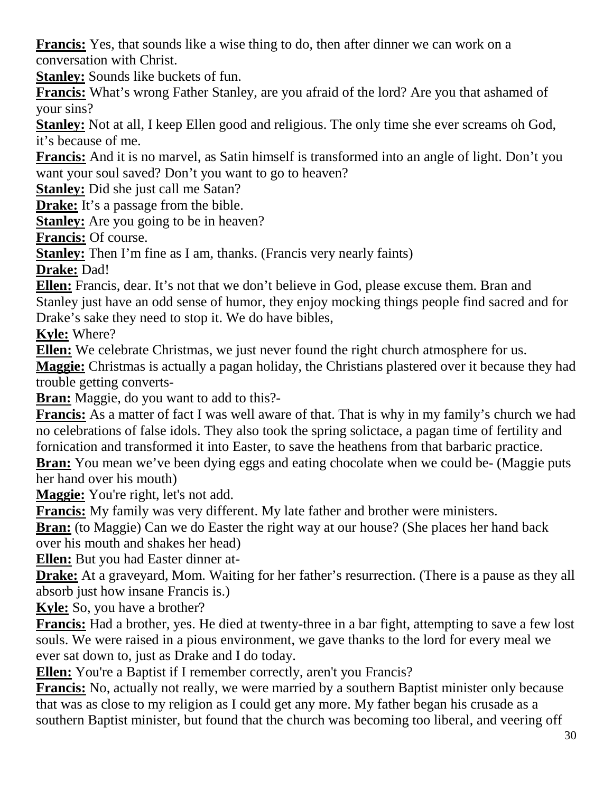**Francis:** Yes, that sounds like a wise thing to do, then after dinner we can work on a conversation with Christ.

**Stanley:** Sounds like buckets of fun.

**Francis:** What's wrong Father Stanley, are you afraid of the lord? Are you that ashamed of your sins?

**Stanley:** Not at all, I keep Ellen good and religious. The only time she ever screams oh God, it's because of me.

**Francis:** And it is no marvel, as Satin himself is transformed into an angle of light. Don't you want your soul saved? Don't you want to go to heaven?

**Stanley:** Did she just call me Satan?

**Drake:** It's a passage from the bible.

**Stanley:** Are you going to be in heaven?

**Francis:** Of course.

**Stanley:** Then I'm fine as I am, thanks. (Francis very nearly faints)

**Drake:** Dad!

**Ellen:** Francis, dear. It's not that we don't believe in God, please excuse them. Bran and Stanley just have an odd sense of humor, they enjoy mocking things people find sacred and for Drake's sake they need to stop it. We do have bibles,

**Kyle:** Where?

**Ellen:** We celebrate Christmas, we just never found the right church atmosphere for us.

**Maggie:** Christmas is actually a pagan holiday, the Christians plastered over it because they had trouble getting converts-

**Bran:** Maggie, do you want to add to this?-

**Francis:** As a matter of fact I was well aware of that. That is why in my family's church we had no celebrations of false idols. They also took the spring solictace, a pagan time of fertility and fornication and transformed it into Easter, to save the heathens from that barbaric practice.

**Bran:** You mean we've been dying eggs and eating chocolate when we could be- (Maggie puts her hand over his mouth)

**Maggie:** You're right, let's not add.

**Francis:** My family was very different. My late father and brother were ministers.

**Bran:** (to Maggie) Can we do Easter the right way at our house? (She places her hand back over his mouth and shakes her head)

**Ellen:** But you had Easter dinner at-

**Drake:** At a graveyard, Mom. Waiting for her father's resurrection. (There is a pause as they all absorb just how insane Francis is.)

**Kyle:** So, you have a brother?

**Francis:** Had a brother, yes. He died at twenty-three in a bar fight, attempting to save a few lost souls. We were raised in a pious environment, we gave thanks to the lord for every meal we ever sat down to, just as Drake and I do today.

**Ellen:** You're a Baptist if I remember correctly, aren't you Francis?

**Francis:** No, actually not really, we were married by a southern Baptist minister only because that was as close to my religion as I could get any more. My father began his crusade as a southern Baptist minister, but found that the church was becoming too liberal, and veering off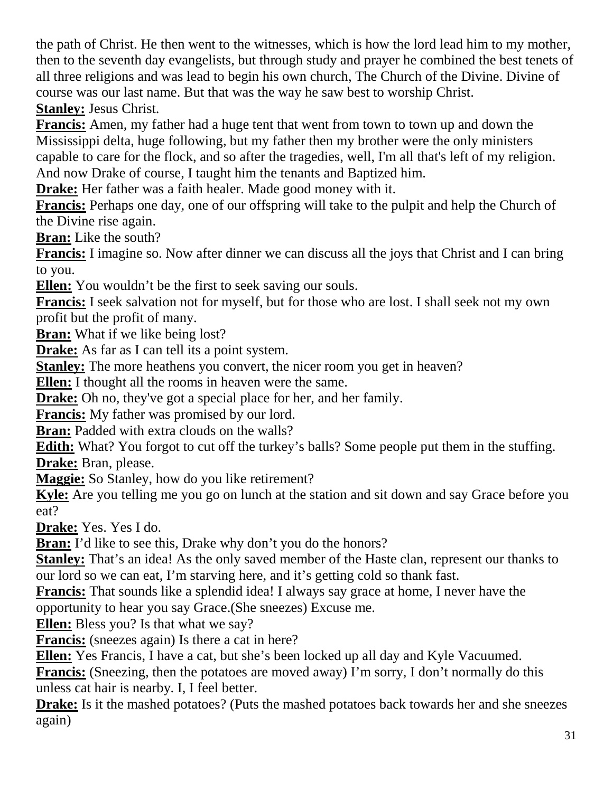the path of Christ. He then went to the witnesses, which is how the lord lead him to my mother, then to the seventh day evangelists, but through study and prayer he combined the best tenets of all three religions and was lead to begin his own church, The Church of the Divine. Divine of course was our last name. But that was the way he saw best to worship Christ. **Stanley:** Jesus Christ.

**Francis:** Amen, my father had a huge tent that went from town to town up and down the Mississippi delta, huge following, but my father then my brother were the only ministers capable to care for the flock, and so after the tragedies, well, I'm all that's left of my religion. And now Drake of course, I taught him the tenants and Baptized him.

**Drake:** Her father was a faith healer. Made good money with it.

**Francis:** Perhaps one day, one of our offspring will take to the pulpit and help the Church of the Divine rise again.

**Bran:** Like the south?

**Francis:** I imagine so. Now after dinner we can discuss all the joys that Christ and I can bring to you.

**Ellen:** You wouldn't be the first to seek saving our souls.

**Francis:** I seek salvation not for myself, but for those who are lost. I shall seek not my own profit but the profit of many.

**Bran:** What if we like being lost?

**Drake:** As far as I can tell its a point system.

**Stanley:** The more heathens you convert, the nicer room you get in heaven?

**Ellen:** I thought all the rooms in heaven were the same.

**Drake:** Oh no, they've got a special place for her, and her family.

**Francis:** My father was promised by our lord.

**Bran:** Padded with extra clouds on the walls?

**Edith:** What? You forgot to cut off the turkey's balls? Some people put them in the stuffing. **Drake:** Bran, please.

**Maggie:** So Stanley, how do you like retirement?

**Kyle:** Are you telling me you go on lunch at the station and sit down and say Grace before you eat?

**Drake:** Yes. Yes I do.

**Bran:** I'd like to see this, Drake why don't you do the honors?

**Stanley:** That's an idea! As the only saved member of the Haste clan, represent our thanks to our lord so we can eat, I'm starving here, and it's getting cold so thank fast.

**Francis:** That sounds like a splendid idea! I always say grace at home, I never have the opportunity to hear you say Grace.(She sneezes) Excuse me.

**Ellen:** Bless you? Is that what we say?

**Francis:** (sneezes again) Is there a cat in here?

**Ellen:** Yes Francis, I have a cat, but she's been locked up all day and Kyle Vacuumed.

**Francis:** (Sneezing, then the potatoes are moved away) I'm sorry, I don't normally do this unless cat hair is nearby. I, I feel better.

**Drake:** Is it the mashed potatoes? (Puts the mashed potatoes back towards her and she sneezes again)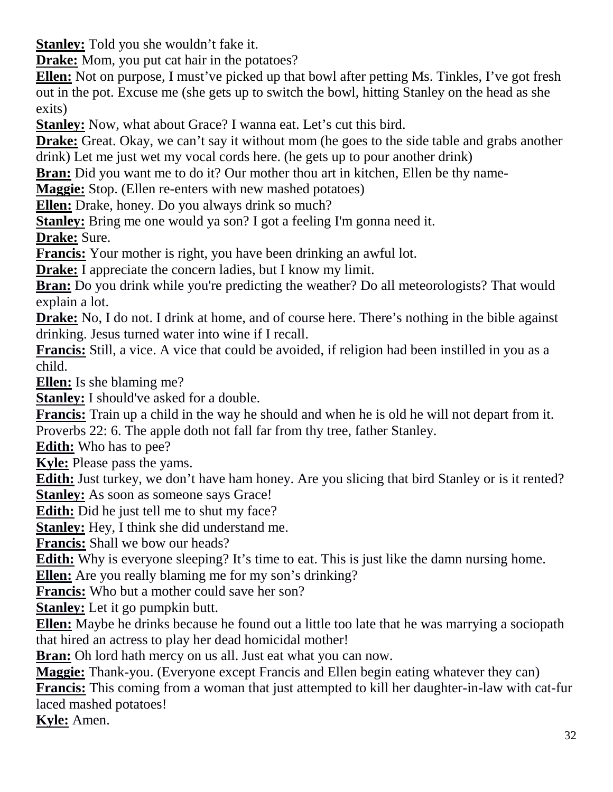**Stanley:** Told you she wouldn't fake it.

**Drake:** Mom, you put cat hair in the potatoes?

**Ellen:** Not on purpose, I must've picked up that bowl after petting Ms. Tinkles, I've got fresh out in the pot. Excuse me (she gets up to switch the bowl, hitting Stanley on the head as she exits)

**Stanley:** Now, what about Grace? I wanna eat. Let's cut this bird.

**Drake:** Great. Okay, we can't say it without mom (he goes to the side table and grabs another drink) Let me just wet my vocal cords here. (he gets up to pour another drink)

**Bran:** Did you want me to do it? Our mother thou art in kitchen, Ellen be thy name-

**Maggie:** Stop. (Ellen re-enters with new mashed potatoes)

**Ellen:** Drake, honey. Do you always drink so much?

**Stanley:** Bring me one would ya son? I got a feeling I'm gonna need it.

**Drake:** Sure.

**Francis:** Your mother is right, you have been drinking an awful lot.

**Drake:** I appreciate the concern ladies, but I know my limit.

**Bran:** Do you drink while you're predicting the weather? Do all meteorologists? That would explain a lot.

**Drake:** No, I do not. I drink at home, and of course here. There's nothing in the bible against drinking. Jesus turned water into wine if I recall.

**Francis:** Still, a vice. A vice that could be avoided, if religion had been instilled in you as a child.

**Ellen:** Is she blaming me?

**Stanley:** I should've asked for a double.

**Francis:** Train up a child in the way he should and when he is old he will not depart from it. Proverbs 22: 6. The apple doth not fall far from thy tree, father Stanley.

**Edith:** Who has to pee?

**Kyle:** Please pass the yams.

**Edith:** Just turkey, we don't have ham honey. Are you slicing that bird Stanley or is it rented? **Stanley:** As soon as someone says Grace!

**Edith:** Did he just tell me to shut my face?

**Stanley:** Hey, I think she did understand me.

**Francis:** Shall we bow our heads?

**Edith:** Why is everyone sleeping? It's time to eat. This is just like the damn nursing home.

**Ellen:** Are you really blaming me for my son's drinking?

**Francis:** Who but a mother could save her son?

**Stanley:** Let it go pumpkin butt.

**Ellen:** Maybe he drinks because he found out a little too late that he was marrying a sociopath that hired an actress to play her dead homicidal mother!

**Bran:** Oh lord hath mercy on us all. Just eat what you can now.

**Maggie:** Thank-you. (Everyone except Francis and Ellen begin eating whatever they can)

**Francis:** This coming from a woman that just attempted to kill her daughter-in-law with cat-fur laced mashed potatoes!

**Kyle:** Amen.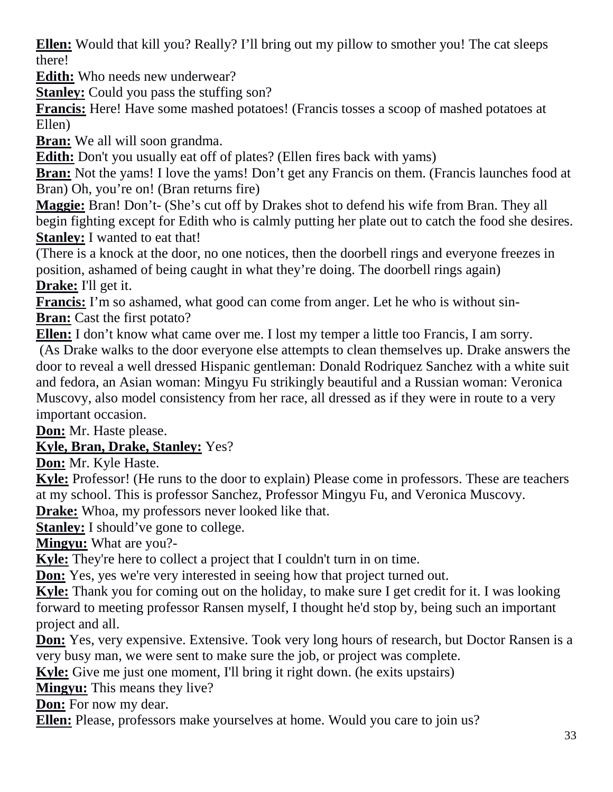**Ellen:** Would that kill you? Really? I'll bring out my pillow to smother you! The cat sleeps there!

**Edith:** Who needs new underwear?

**Stanley:** Could you pass the stuffing son?

**Francis:** Here! Have some mashed potatoes! (Francis tosses a scoop of mashed potatoes at Ellen)

**Bran:** We all will soon grandma.

**Edith:** Don't you usually eat off of plates? (Ellen fires back with yams)

**Bran:** Not the yams! I love the yams! Don't get any Francis on them. (Francis launches food at Bran) Oh, you're on! (Bran returns fire)

**Maggie:** Bran! Don't- (She's cut off by Drakes shot to defend his wife from Bran. They all begin fighting except for Edith who is calmly putting her plate out to catch the food she desires. **Stanley:** I wanted to eat that!

(There is a knock at the door, no one notices, then the doorbell rings and everyone freezes in position, ashamed of being caught in what they're doing. The doorbell rings again) **Drake:** I'll get it.

**Francis:** I'm so ashamed, what good can come from anger. Let he who is without sin-**Bran:** Cast the first potato?

**Ellen:** I don't know what came over me. I lost my temper a little too Francis, I am sorry.

 (As Drake walks to the door everyone else attempts to clean themselves up. Drake answers the door to reveal a well dressed Hispanic gentleman: Donald Rodriquez Sanchez with a white suit and fedora, an Asian woman: Mingyu Fu strikingly beautiful and a Russian woman: Veronica Muscovy, also model consistency from her race, all dressed as if they were in route to a very important occasion.

**Don:** Mr. Haste please.

### **Kyle, Bran, Drake, Stanley:** Yes?

**Don:** Mr. Kyle Haste.

**Kyle:** Professor! (He runs to the door to explain) Please come in professors. These are teachers at my school. This is professor Sanchez, Professor Mingyu Fu, and Veronica Muscovy.

**Drake:** Whoa, my professors never looked like that.

**Stanley:** I should've gone to college.

**Mingyu:** What are you?-

**Kyle:** They're here to collect a project that I couldn't turn in on time.

**Don:** Yes, yes we're very interested in seeing how that project turned out.

**Kyle:** Thank you for coming out on the holiday, to make sure I get credit for it. I was looking forward to meeting professor Ransen myself, I thought he'd stop by, being such an important project and all.

**Don:** Yes, very expensive. Extensive. Took very long hours of research, but Doctor Ransen is a very busy man, we were sent to make sure the job, or project was complete.

**Kyle:** Give me just one moment, I'll bring it right down. (he exits upstairs)

**Mingyu:** This means they live?

**Don:** For now my dear.

**Ellen:** Please, professors make yourselves at home. Would you care to join us?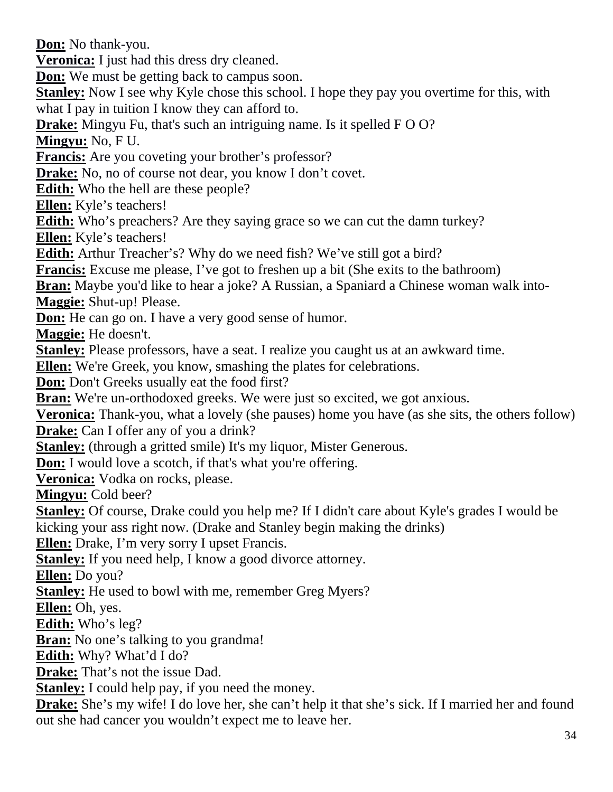**Don:** No thank-you.

**Veronica:** I just had this dress dry cleaned.

**Don:** We must be getting back to campus soon.

**Stanley:** Now I see why Kyle chose this school. I hope they pay you overtime for this, with what I pay in tuition I know they can afford to.

**Drake:** Mingyu Fu, that's such an intriguing name. Is it spelled F O O?

**Mingyu:** No, F U.

**Francis:** Are you coveting your brother's professor?

**Drake:** No, no of course not dear, you know I don't covet.

**Edith:** Who the hell are these people?

**Ellen:** Kyle's teachers!

**Edith:** Who's preachers? Are they saying grace so we can cut the damn turkey?

**Ellen:** Kyle's teachers!

**Edith:** Arthur Treacher's? Why do we need fish? We've still got a bird?

**Francis:** Excuse me please, I've got to freshen up a bit (She exits to the bathroom)

**Bran:** Maybe you'd like to hear a joke? A Russian, a Spaniard a Chinese woman walk into-**Maggie:** Shut-up! Please.

**Don:** He can go on. I have a very good sense of humor.

**Maggie:** He doesn't.

**Stanley:** Please professors, have a seat. I realize you caught us at an awkward time.

**Ellen:** We're Greek, you know, smashing the plates for celebrations.

**Don:** Don't Greeks usually eat the food first?

**Bran:** We're un-orthodoxed greeks. We were just so excited, we got anxious.

**Veronica:** Thank-you, what a lovely (she pauses) home you have (as she sits, the others follow) **Drake:** Can I offer any of you a drink?

**Stanley:** (through a gritted smile) It's my liquor, Mister Generous.

**Don:** I would love a scotch, if that's what you're offering.

**Veronica:** Vodka on rocks, please.

**Mingyu:** Cold beer?

**Stanley:** Of course, Drake could you help me? If I didn't care about Kyle's grades I would be kicking your ass right now. (Drake and Stanley begin making the drinks)

**Ellen:** Drake, I'm very sorry I upset Francis.

**Stanley:** If you need help, I know a good divorce attorney.

**Ellen:** Do you?

**Stanley:** He used to bowl with me, remember Greg Myers?

**Ellen:** Oh, yes.

**Edith:** Who's leg?

**Bran:** No one's talking to you grandma!

**Edith:** Why? What'd I do?

**Drake:** That's not the issue Dad.

**Stanley:** I could help pay, if you need the money.

**Drake:** She's my wife! I do love her, she can't help it that she's sick. If I married her and found out she had cancer you wouldn't expect me to leave her.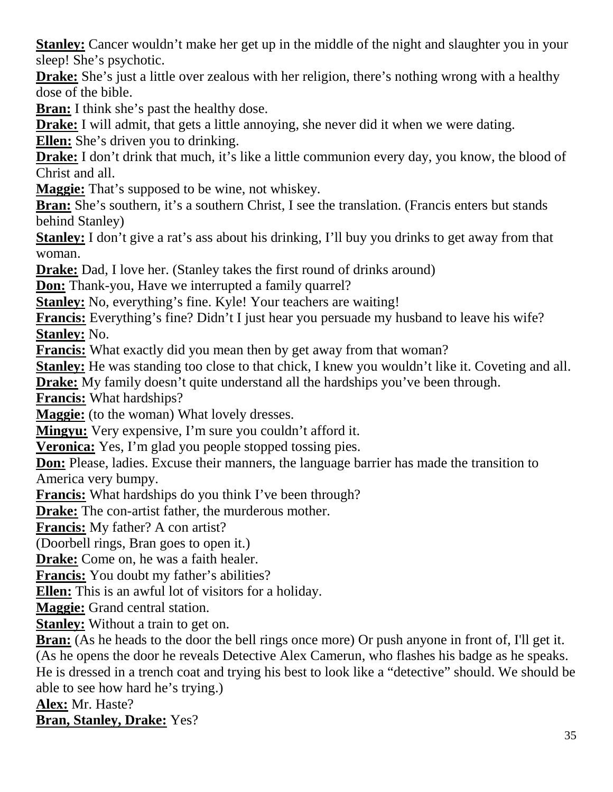**Stanley:** Cancer wouldn't make her get up in the middle of the night and slaughter you in your sleep! She's psychotic.

**Drake:** She's just a little over zealous with her religion, there's nothing wrong with a healthy dose of the bible.

**Bran:** I think she's past the healthy dose.

**Drake:** I will admit, that gets a little annoying, she never did it when we were dating.

**Ellen:** She's driven you to drinking.

**Drake:** I don't drink that much, it's like a little communion every day, you know, the blood of Christ and all.

**Maggie:** That's supposed to be wine, not whiskey.

**Bran:** She's southern, it's a southern Christ, I see the translation. (Francis enters but stands behind Stanley)

**Stanley:** I don't give a rat's ass about his drinking, I'll buy you drinks to get away from that woman.

**Drake:** Dad, I love her. (Stanley takes the first round of drinks around)

**Don:** Thank-you, Have we interrupted a family quarrel?

**Stanley:** No, everything's fine. Kyle! Your teachers are waiting!

**Francis:** Everything's fine? Didn't I just hear you persuade my husband to leave his wife? **Stanley:** No.

**Francis:** What exactly did you mean then by get away from that woman?

**Stanley:** He was standing too close to that chick, I knew you wouldn't like it. Coveting and all.

**Drake:** My family doesn't quite understand all the hardships you've been through.

**Francis:** What hardships?

**Maggie:** (to the woman) What lovely dresses.

**Mingyu:** Very expensive, I'm sure you couldn't afford it.

**Veronica:** Yes, I'm glad you people stopped tossing pies.

**Don:** Please, ladies. Excuse their manners, the language barrier has made the transition to America very bumpy.

**Francis:** What hardships do you think I've been through?

**Drake:** The con-artist father, the murderous mother.

**Francis:** My father? A con artist?

(Doorbell rings, Bran goes to open it.)

**Drake:** Come on, he was a faith healer.

**Francis:** You doubt my father's abilities?

**Ellen:** This is an awful lot of visitors for a holiday.

**Maggie:** Grand central station.

**Stanley:** Without a train to get on.

**Bran:** (As he heads to the door the bell rings once more) Or push anyone in front of, I'll get it. (As he opens the door he reveals Detective Alex Camerun, who flashes his badge as he speaks. He is dressed in a trench coat and trying his best to look like a "detective" should. We should be able to see how hard he's trying.)

**Alex:** Mr. Haste?

**Bran, Stanley, Drake:** Yes?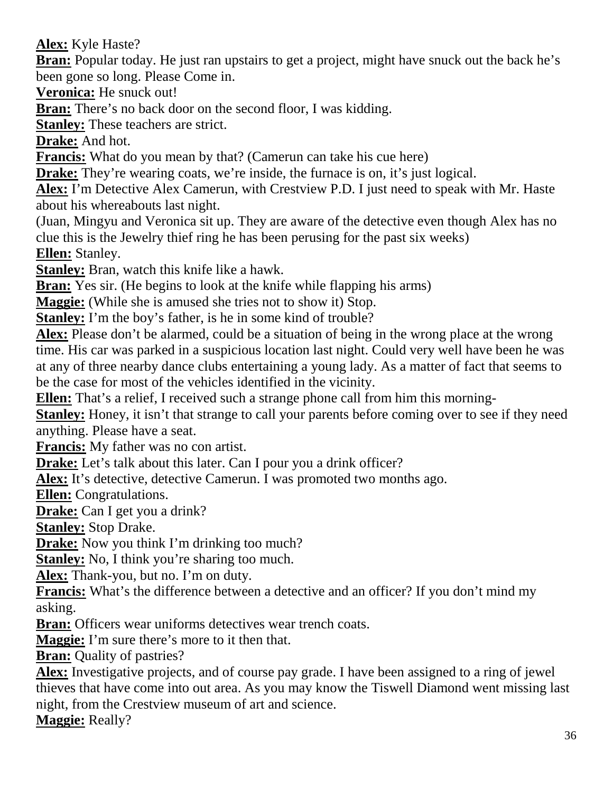**Alex:** Kyle Haste?

**Bran:** Popular today. He just ran upstairs to get a project, might have snuck out the back he's been gone so long. Please Come in.

**Veronica:** He snuck out!

**Bran:** There's no back door on the second floor, I was kidding.

**Stanley:** These teachers are strict.

**Drake:** And hot.

**Francis:** What do you mean by that? (Camerun can take his cue here)

**Drake:** They're wearing coats, we're inside, the furnace is on, it's just logical.

**Alex:** I'm Detective Alex Camerun, with Crestview P.D. I just need to speak with Mr. Haste about his whereabouts last night.

(Juan, Mingyu and Veronica sit up. They are aware of the detective even though Alex has no clue this is the Jewelry thief ring he has been perusing for the past six weeks) **Ellen:** Stanley.

**Stanley:** Bran, watch this knife like a hawk.

**Bran:** Yes sir. (He begins to look at the knife while flapping his arms)

**Maggie:** (While she is amused she tries not to show it) Stop.

**Stanley:** I'm the boy's father, is he in some kind of trouble?

**Alex:** Please don't be alarmed, could be a situation of being in the wrong place at the wrong time. His car was parked in a suspicious location last night. Could very well have been he was at any of three nearby dance clubs entertaining a young lady. As a matter of fact that seems to be the case for most of the vehicles identified in the vicinity.

**Ellen:** That's a relief, I received such a strange phone call from him this morning-

**Stanley:** Honey, it isn't that strange to call your parents before coming over to see if they need anything. Please have a seat.

**Francis:** My father was no con artist.

**Drake:** Let's talk about this later. Can I pour you a drink officer?

**Alex:** It's detective, detective Camerun. I was promoted two months ago.

**Ellen:** Congratulations.

**Drake:** Can I get you a drink?

**Stanley:** Stop Drake.

**Drake:** Now you think I'm drinking too much?

**Stanley:** No, I think you're sharing too much.

**Alex:** Thank-you, but no. I'm on duty.

**Francis:** What's the difference between a detective and an officer? If you don't mind my asking.

**Bran:** Officers wear uniforms detectives wear trench coats.

**Maggie:** I'm sure there's more to it then that.

**Bran:** Quality of pastries?

**Alex:** Investigative projects, and of course pay grade. I have been assigned to a ring of jewel thieves that have come into out area. As you may know the Tiswell Diamond went missing last night, from the Crestview museum of art and science.

**Maggie:** Really?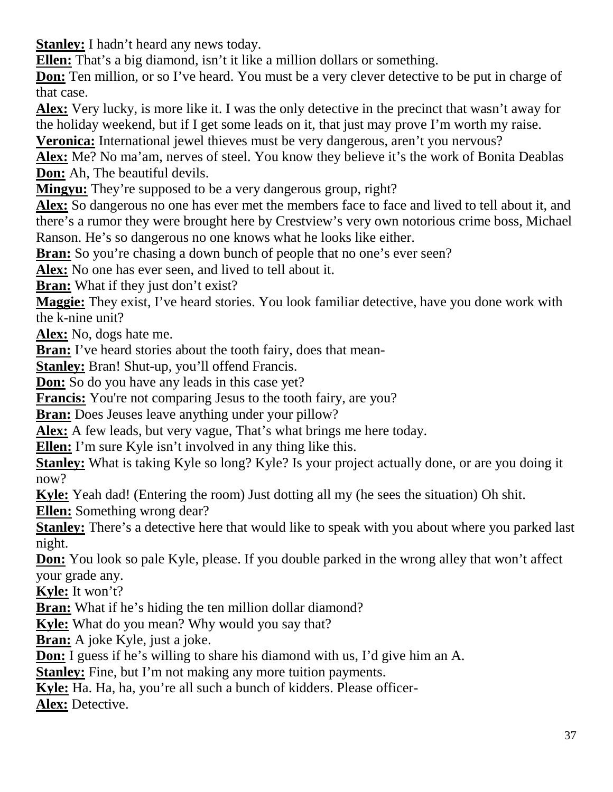**Stanley:** I hadn't heard any news today.

**Ellen:** That's a big diamond, isn't it like a million dollars or something.

**Don:** Ten million, or so I've heard. You must be a very clever detective to be put in charge of that case.

**Alex:** Very lucky, is more like it. I was the only detective in the precinct that wasn't away for the holiday weekend, but if I get some leads on it, that just may prove I'm worth my raise.

**Veronica:** International jewel thieves must be very dangerous, aren't you nervous?

**Alex:** Me? No ma'am, nerves of steel. You know they believe it's the work of Bonita Deablas **Don:** Ah, The beautiful devils.

**Mingyu:** They're supposed to be a very dangerous group, right?

**Alex:** So dangerous no one has ever met the members face to face and lived to tell about it, and there's a rumor they were brought here by Crestview's very own notorious crime boss, Michael Ranson. He's so dangerous no one knows what he looks like either.

**Bran:** So you're chasing a down bunch of people that no one's ever seen?

**Alex:** No one has ever seen, and lived to tell about it.

**Bran:** What if they just don't exist?

**Maggie:** They exist, I've heard stories. You look familiar detective, have you done work with the k-nine unit?

**Alex:** No, dogs hate me.

**Bran:** I've heard stories about the tooth fairy, does that mean-

**Stanley:** Bran! Shut-up, you'll offend Francis.

**Don:** So do you have any leads in this case yet?

**Francis:** You're not comparing Jesus to the tooth fairy, are you?

**Bran:** Does Jeuses leave anything under your pillow?

**Alex:** A few leads, but very vague, That's what brings me here today.

**Ellen:** I'm sure Kyle isn't involved in any thing like this.

**Stanley:** What is taking Kyle so long? Kyle? Is your project actually done, or are you doing it now?

**Kyle:** Yeah dad! (Entering the room) Just dotting all my (he sees the situation) Oh shit.

**Ellen:** Something wrong dear?

**Stanley:** There's a detective here that would like to speak with you about where you parked last night.

**Don:** You look so pale Kyle, please. If you double parked in the wrong alley that won't affect your grade any.

**Kyle:** It won't?

**Bran:** What if he's hiding the ten million dollar diamond?

**Kyle:** What do you mean? Why would you say that?

**Bran:** A joke Kyle, just a joke.

**Don:** I guess if he's willing to share his diamond with us, I'd give him an A.

**Stanley:** Fine, but I'm not making any more tuition payments.

**Kyle:** Ha. Ha, ha, you're all such a bunch of kidders. Please officer-

**Alex:** Detective.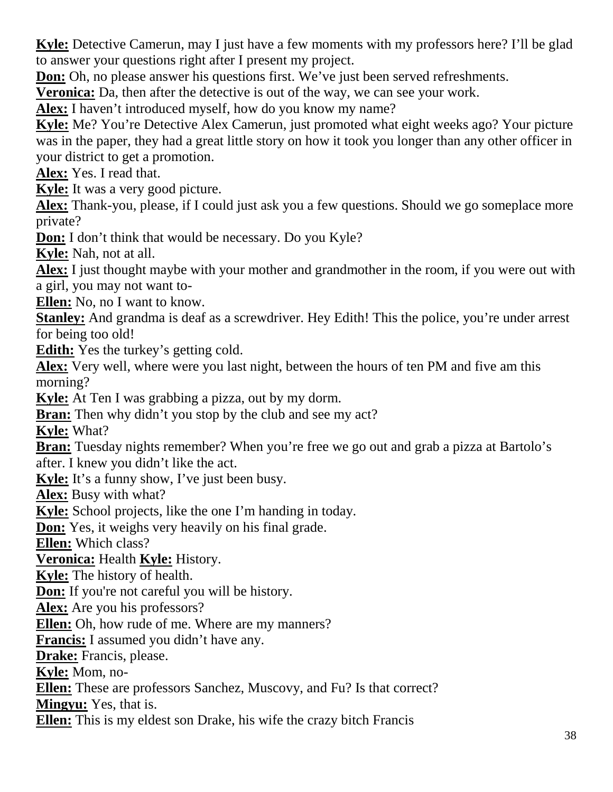**Kyle:** Detective Camerun, may I just have a few moments with my professors here? I'll be glad to answer your questions right after I present my project.

**Don:** Oh, no please answer his questions first. We've just been served refreshments.

**Veronica:** Da, then after the detective is out of the way, we can see your work.

**Alex:** I haven't introduced myself, how do you know my name?

**Kyle:** Me? You're Detective Alex Camerun, just promoted what eight weeks ago? Your picture was in the paper, they had a great little story on how it took you longer than any other officer in your district to get a promotion.

**Alex:** Yes. I read that.

**Kyle:** It was a very good picture.

**Alex:** Thank-you, please, if I could just ask you a few questions. Should we go someplace more private?

**Don:** I don't think that would be necessary. Do you Kyle?

**Kyle:** Nah, not at all.

**Alex:** I just thought maybe with your mother and grandmother in the room, if you were out with a girl, you may not want to-

**Ellen:** No, no I want to know.

**Stanley:** And grandma is deaf as a screwdriver. Hey Edith! This the police, you're under arrest for being too old!

**Edith:** Yes the turkey's getting cold.

**Alex:** Very well, where were you last night, between the hours of ten PM and five am this morning?

**Kyle:** At Ten I was grabbing a pizza, out by my dorm.

**Bran:** Then why didn't you stop by the club and see my act?

**Kyle:** What?

**Bran:** Tuesday nights remember? When you're free we go out and grab a pizza at Bartolo's after. I knew you didn't like the act.

**Kyle:** It's a funny show, I've just been busy.

**Alex:** Busy with what?

**Kyle:** School projects, like the one I'm handing in today.

**Don:** Yes, it weighs very heavily on his final grade.

**Ellen:** Which class?

**Veronica:** Health **Kyle:** History.

**Kyle:** The history of health.

**Don:** If you're not careful you will be history.

**Alex:** Are you his professors?

**Ellen:** Oh, how rude of me. Where are my manners?

**Francis:** I assumed you didn't have any.

**Drake:** Francis, please.

**Kyle:** Mom, no-

**Ellen:** These are professors Sanchez, Muscovy, and Fu? Is that correct?

**Mingyu:** Yes, that is.

**Ellen:** This is my eldest son Drake, his wife the crazy bitch Francis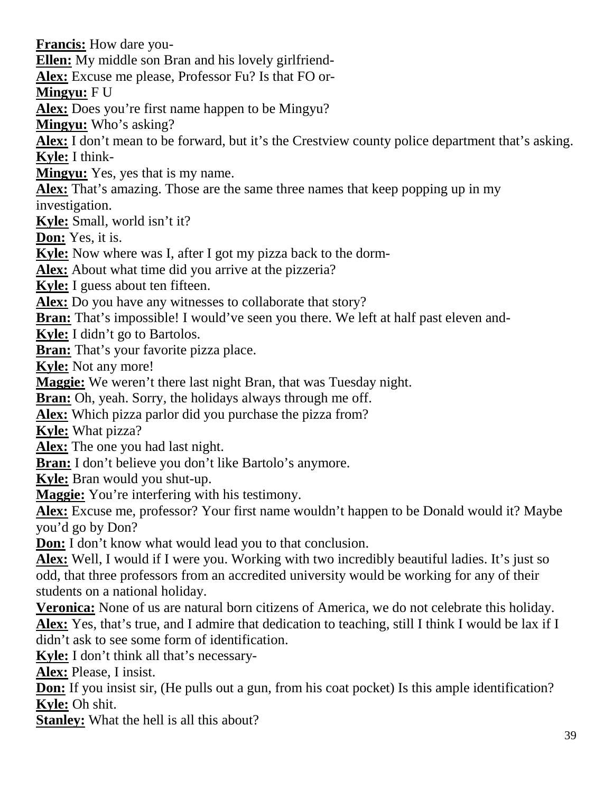**Francis:** How dare you-

**Ellen:** My middle son Bran and his lovely girlfriend-

**Alex:** Excuse me please, Professor Fu? Is that FO or-

**Mingyu:** F U

**Alex:** Does you're first name happen to be Mingyu?

**Mingyu:** Who's asking?

**Alex:** I don't mean to be forward, but it's the Crestview county police department that's asking. **Kyle:** I think-

**Mingyu:** Yes, yes that is my name.

**Alex:** That's amazing. Those are the same three names that keep popping up in my

investigation.

**Kyle:** Small, world isn't it?

**Don:** Yes, it is.

**Kyle:** Now where was I, after I got my pizza back to the dorm-

**Alex:** About what time did you arrive at the pizzeria?

**Kyle:** I guess about ten fifteen.

**Alex:** Do you have any witnesses to collaborate that story?

**Bran:** That's impossible! I would've seen you there. We left at half past eleven and-

**Kyle:** I didn't go to Bartolos.

**Bran:** That's your favorite pizza place.

**Kyle:** Not any more!

**Maggie:** We weren't there last night Bran, that was Tuesday night.

**Bran:** Oh, yeah. Sorry, the holidays always through me off.

**Alex:** Which pizza parlor did you purchase the pizza from?

**Kyle:** What pizza?

**Alex:** The one you had last night.

**Bran:** I don't believe you don't like Bartolo's anymore.

**Kyle:** Bran would you shut-up.

**Maggie:** You're interfering with his testimony.

**Alex:** Excuse me, professor? Your first name wouldn't happen to be Donald would it? Maybe you'd go by Don?

**Don:** I don't know what would lead you to that conclusion.

**Alex:** Well, I would if I were you. Working with two incredibly beautiful ladies. It's just so odd, that three professors from an accredited university would be working for any of their students on a national holiday.

**Veronica:** None of us are natural born citizens of America, we do not celebrate this holiday. **Alex:** Yes, that's true, and I admire that dedication to teaching, still I think I would be lax if I didn't ask to see some form of identification.

**Kyle:** I don't think all that's necessary-

**Alex:** Please, I insist.

**Don:** If you insist sir, (He pulls out a gun, from his coat pocket) Is this ample identification? **Kyle:** Oh shit.

**Stanley:** What the hell is all this about?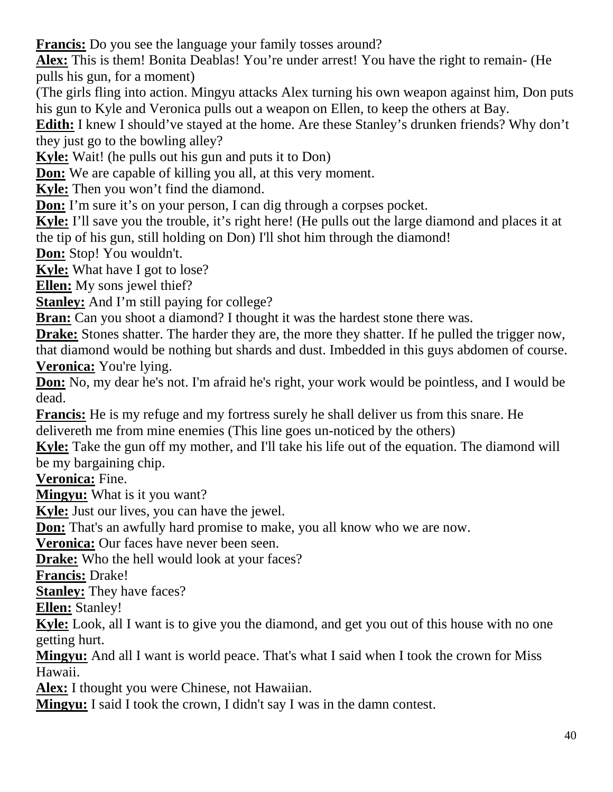**Francis:** Do you see the language your family tosses around?

**Alex:** This is them! Bonita Deablas! You're under arrest! You have the right to remain- (He pulls his gun, for a moment)

(The girls fling into action. Mingyu attacks Alex turning his own weapon against him, Don puts his gun to Kyle and Veronica pulls out a weapon on Ellen, to keep the others at Bay.

**Edith:** I knew I should've stayed at the home. Are these Stanley's drunken friends? Why don't they just go to the bowling alley?

**Kyle:** Wait! (he pulls out his gun and puts it to Don)

**Don:** We are capable of killing you all, at this very moment.

**Kyle:** Then you won't find the diamond.

**Don:** I'm sure it's on your person, I can dig through a corpses pocket.

**Kyle:** I'll save you the trouble, it's right here! (He pulls out the large diamond and places it at the tip of his gun, still holding on Don) I'll shot him through the diamond!

**Don:** Stop! You wouldn't.

**Kyle:** What have I got to lose?

**Ellen:** My sons jewel thief?

**Stanley:** And I'm still paying for college?

**Bran:** Can you shoot a diamond? I thought it was the hardest stone there was.

**Drake:** Stones shatter. The harder they are, the more they shatter. If he pulled the trigger now, that diamond would be nothing but shards and dust. Imbedded in this guys abdomen of course. **Veronica:** You're lying.

**Don:** No, my dear he's not. I'm afraid he's right, your work would be pointless, and I would be dead.

**Francis:** He is my refuge and my fortress surely he shall deliver us from this snare. He delivereth me from mine enemies (This line goes un-noticed by the others)

**Kyle:** Take the gun off my mother, and I'll take his life out of the equation. The diamond will be my bargaining chip.

**Veronica:** Fine.

**Mingyu:** What is it you want?

**Kyle:** Just our lives, you can have the jewel.

**Don:** That's an awfully hard promise to make, you all know who we are now.

**Veronica:** Our faces have never been seen.

**Drake:** Who the hell would look at your faces?

**Francis:** Drake!

**Stanley:** They have faces?

**Ellen:** Stanley!

**Kyle:** Look, all I want is to give you the diamond, and get you out of this house with no one getting hurt.

**Mingyu:** And all I want is world peace. That's what I said when I took the crown for Miss Hawaii.

**Alex:** I thought you were Chinese, not Hawaiian.

**Mingyu:** I said I took the crown, I didn't say I was in the damn contest.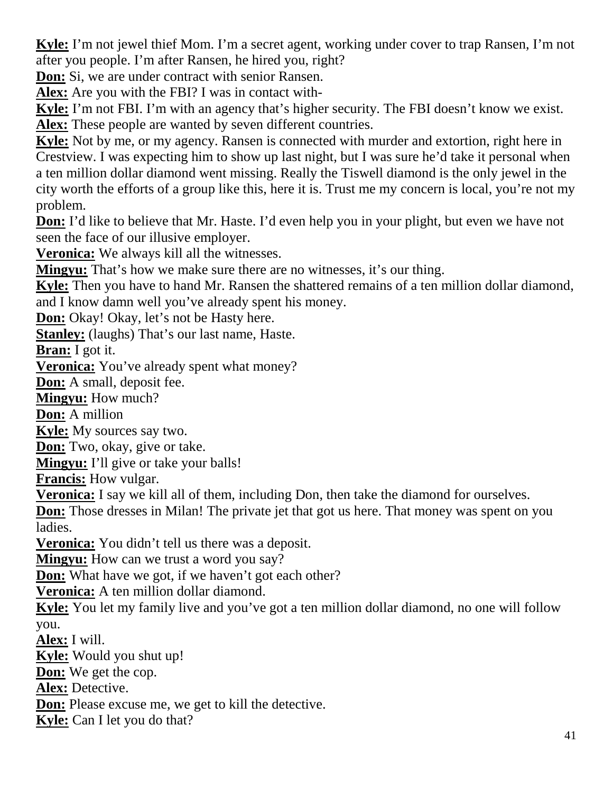**Kyle:** I'm not jewel thief Mom. I'm a secret agent, working under cover to trap Ransen, I'm not after you people. I'm after Ransen, he hired you, right?

**Don:** Si, we are under contract with senior Ransen.

**Alex:** Are you with the FBI? I was in contact with-

**Kyle:** I'm not FBI. I'm with an agency that's higher security. The FBI doesn't know we exist. **Alex:** These people are wanted by seven different countries.

**Kyle:** Not by me, or my agency. Ransen is connected with murder and extortion, right here in Crestview. I was expecting him to show up last night, but I was sure he'd take it personal when a ten million dollar diamond went missing. Really the Tiswell diamond is the only jewel in the city worth the efforts of a group like this, here it is. Trust me my concern is local, you're not my problem.

**Don:** I'd like to believe that Mr. Haste. I'd even help you in your plight, but even we have not seen the face of our illusive employer.

**Veronica:** We always kill all the witnesses.

**Mingyu:** That's how we make sure there are no witnesses, it's our thing.

**Kyle:** Then you have to hand Mr. Ransen the shattered remains of a ten million dollar diamond, and I know damn well you've already spent his money.

**Don:** Okay! Okay, let's not be Hasty here.

**Stanley:** (laughs) That's our last name, Haste.

**Bran:** I got it.

**Veronica:** You've already spent what money?

**Don:** A small, deposit fee.

**Mingyu:** How much?

**Don:** A million

**Kyle:** My sources say two.

**Don:** Two, okay, give or take.

**Mingyu:** I'll give or take your balls!

**Francis:** How vulgar.

**Veronica:** I say we kill all of them, including Don, then take the diamond for ourselves.

**Don:** Those dresses in Milan! The private jet that got us here. That money was spent on you ladies.

**Veronica:** You didn't tell us there was a deposit.

**Mingyu:** How can we trust a word you say?

**Don:** What have we got, if we haven't got each other?

**Veronica:** A ten million dollar diamond.

**Kyle:** You let my family live and you've got a ten million dollar diamond, no one will follow you.

**Alex:** I will.

**Kyle:** Would you shut up!

**Don:** We get the cop.

**Alex:** Detective.

**Don:** Please excuse me, we get to kill the detective.

**Kyle:** Can I let you do that?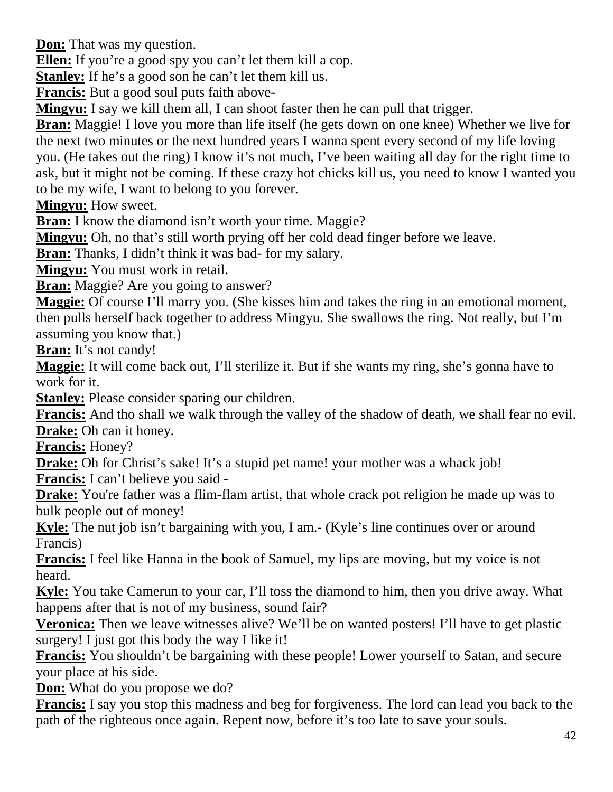**Don:** That was my question.

**Ellen:** If you're a good spy you can't let them kill a cop.

**Stanley:** If he's a good son he can't let them kill us.

**Francis:** But a good soul puts faith above-

**Mingyu:** I say we kill them all, I can shoot faster then he can pull that trigger.

**Bran:** Maggie! I love you more than life itself (he gets down on one knee) Whether we live for the next two minutes or the next hundred years I wanna spent every second of my life loving you. (He takes out the ring) I know it's not much, I've been waiting all day for the right time to ask, but it might not be coming. If these crazy hot chicks kill us, you need to know I wanted you to be my wife, I want to belong to you forever.

**Mingyu:** How sweet.

**Bran:** I know the diamond isn't worth your time. Maggie?

**Mingyu:** Oh, no that's still worth prying off her cold dead finger before we leave.

**Bran:** Thanks, I didn't think it was bad- for my salary.

**Mingyu:** You must work in retail.

**Bran:** Maggie? Are you going to answer?

**Maggie:** Of course I'll marry you. (She kisses him and takes the ring in an emotional moment, then pulls herself back together to address Mingyu. She swallows the ring. Not really, but I'm assuming you know that.)

**Bran:** It's not candy!

**Maggie:** It will come back out, I'll sterilize it. But if she wants my ring, she's gonna have to work for it.

**Stanley:** Please consider sparing our children.

**Francis:** And tho shall we walk through the valley of the shadow of death, we shall fear no evil. **Drake:** Oh can it honey.

**Francis:** Honey?

**Drake:** Oh for Christ's sake! It's a stupid pet name! your mother was a whack job!

**Francis:** I can't believe you said -

**Drake:** You're father was a flim-flam artist, that whole crack pot religion he made up was to bulk people out of money!

**Kyle:** The nut job isn't bargaining with you, I am.- (Kyle's line continues over or around Francis)

**Francis:** I feel like Hanna in the book of Samuel, my lips are moving, but my voice is not heard.

**Kyle:** You take Camerun to your car, I'll toss the diamond to him, then you drive away. What happens after that is not of my business, sound fair?

**Veronica:** Then we leave witnesses alive? We'll be on wanted posters! I'll have to get plastic surgery! I just got this body the way I like it!

**Francis:** You shouldn't be bargaining with these people! Lower yourself to Satan, and secure your place at his side.

**Don:** What do you propose we do?

**Francis:** I say you stop this madness and beg for forgiveness. The lord can lead you back to the path of the righteous once again. Repent now, before it's too late to save your souls.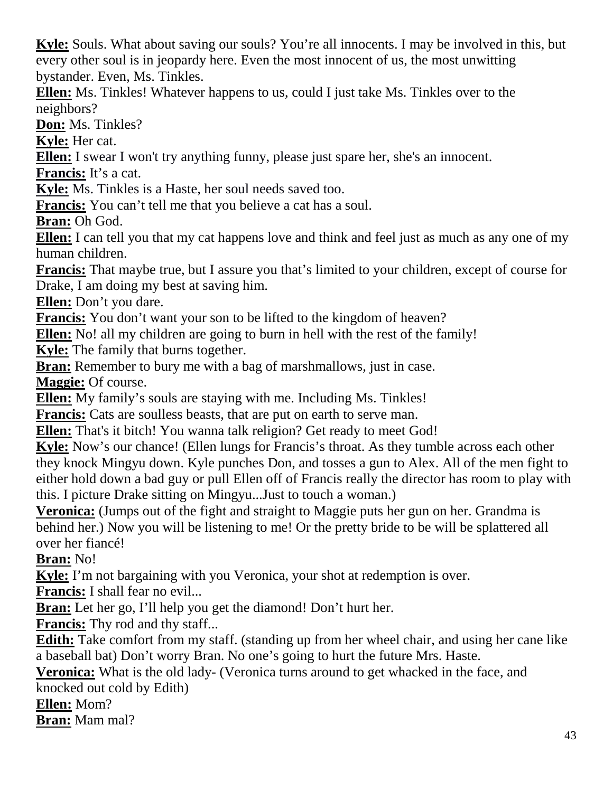**Kyle:** Souls. What about saving our souls? You're all innocents. I may be involved in this, but every other soul is in jeopardy here. Even the most innocent of us, the most unwitting bystander. Even, Ms. Tinkles.

**Ellen:** Ms. Tinkles! Whatever happens to us, could I just take Ms. Tinkles over to the neighbors?

**Don:** Ms. Tinkles?

**Kyle:** Her cat.

**Ellen:** I swear I won't try anything funny, please just spare her, she's an innocent.

**Francis:** It's a cat.

**Kyle:** Ms. Tinkles is a Haste, her soul needs saved too.

**Francis:** You can't tell me that you believe a cat has a soul.

**Bran:** Oh God.

**Ellen:** I can tell you that my cat happens love and think and feel just as much as any one of my human children.

**Francis:** That maybe true, but I assure you that's limited to your children, except of course for Drake, I am doing my best at saving him.

**Ellen:** Don't you dare.

**Francis:** You don't want your son to be lifted to the kingdom of heaven?

**Ellen:** No! all my children are going to burn in hell with the rest of the family!

**Kyle:** The family that burns together.

**Bran:** Remember to bury me with a bag of marshmallows, just in case.

**Maggie:** Of course.

**Ellen:** My family's souls are staying with me. Including Ms. Tinkles!

**Francis:** Cats are soulless beasts, that are put on earth to serve man.

**Ellen:** That's it bitch! You wanna talk religion? Get ready to meet God!

**Kyle:** Now's our chance! (Ellen lungs for Francis's throat. As they tumble across each other they knock Mingyu down. Kyle punches Don, and tosses a gun to Alex. All of the men fight to either hold down a bad guy or pull Ellen off of Francis really the director has room to play with this. I picture Drake sitting on Mingyu...Just to touch a woman.)

**Veronica:** (Jumps out of the fight and straight to Maggie puts her gun on her. Grandma is behind her.) Now you will be listening to me! Or the pretty bride to be will be splattered all over her fiancé!

**Bran:** No!

**Kyle:** I'm not bargaining with you Veronica, your shot at redemption is over.

**Francis:** I shall fear no evil...

**Bran:** Let her go, I'll help you get the diamond! Don't hurt her.

**Francis:** Thy rod and thy staff...

**Edith:** Take comfort from my staff. (standing up from her wheel chair, and using her cane like a baseball bat) Don't worry Bran. No one's going to hurt the future Mrs. Haste.

**Veronica:** What is the old lady- (Veronica turns around to get whacked in the face, and knocked out cold by Edith)

**Ellen:** Mom?

**Bran:** Mam mal?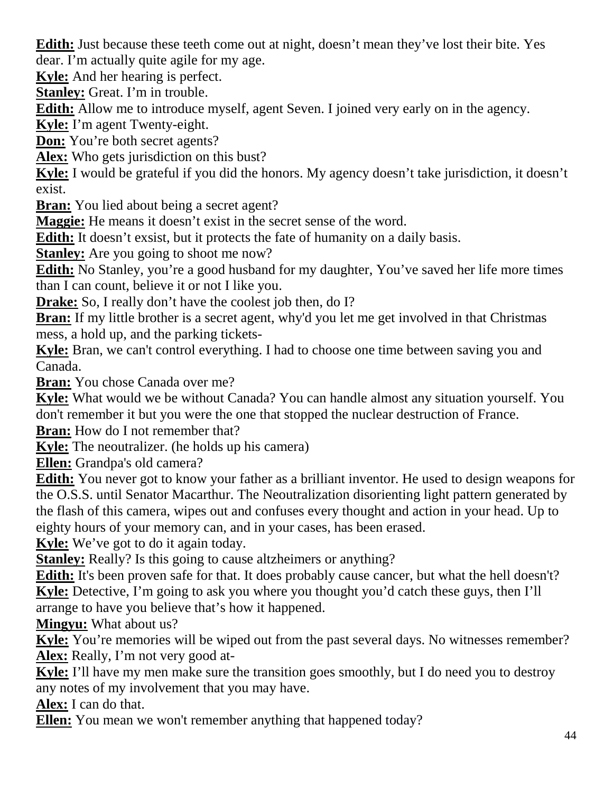**Edith:** Just because these teeth come out at night, doesn't mean they've lost their bite. Yes dear. I'm actually quite agile for my age.

**Kyle:** And her hearing is perfect.

**Stanley:** Great. I'm in trouble.

**Edith:** Allow me to introduce myself, agent Seven. I joined very early on in the agency.

**Kyle:** I'm agent Twenty-eight.

**Don:** You're both secret agents?

**Alex:** Who gets jurisdiction on this bust?

**Kyle:** I would be grateful if you did the honors. My agency doesn't take jurisdiction, it doesn't exist.

**Bran:** You lied about being a secret agent?

**Maggie:** He means it doesn't exist in the secret sense of the word.

**Edith:** It doesn't exsist, but it protects the fate of humanity on a daily basis.

**Stanley:** Are you going to shoot me now?

**Edith:** No Stanley, you're a good husband for my daughter, You've saved her life more times than I can count, believe it or not I like you.

**Drake:** So, I really don't have the coolest job then, do I?

**Bran:** If my little brother is a secret agent, why'd you let me get involved in that Christmas mess, a hold up, and the parking tickets-

**Kyle:** Bran, we can't control everything. I had to choose one time between saving you and Canada.

**Bran:** You chose Canada over me?

**Kyle:** What would we be without Canada? You can handle almost any situation yourself. You don't remember it but you were the one that stopped the nuclear destruction of France.

**Bran:** How do I not remember that?

**Kyle:** The neoutralizer. (he holds up his camera)

**Ellen:** Grandpa's old camera?

**Edith:** You never got to know your father as a brilliant inventor. He used to design weapons for the O.S.S. until Senator Macarthur. The Neoutralization disorienting light pattern generated by the flash of this camera, wipes out and confuses every thought and action in your head. Up to eighty hours of your memory can, and in your cases, has been erased.

**Kyle:** We've got to do it again today.

**Stanley:** Really? Is this going to cause altzheimers or anything?

**Edith:** It's been proven safe for that. It does probably cause cancer, but what the hell doesn't? **Kyle:** Detective, I'm going to ask you where you thought you'd catch these guys, then I'll arrange to have you believe that's how it happened.

**Mingyu:** What about us?

**Kyle:** You're memories will be wiped out from the past several days. No witnesses remember? **Alex:** Really, I'm not very good at-

**Kyle:** I'll have my men make sure the transition goes smoothly, but I do need you to destroy any notes of my involvement that you may have.

**Alex:** I can do that.

**Ellen:** You mean we won't remember anything that happened today?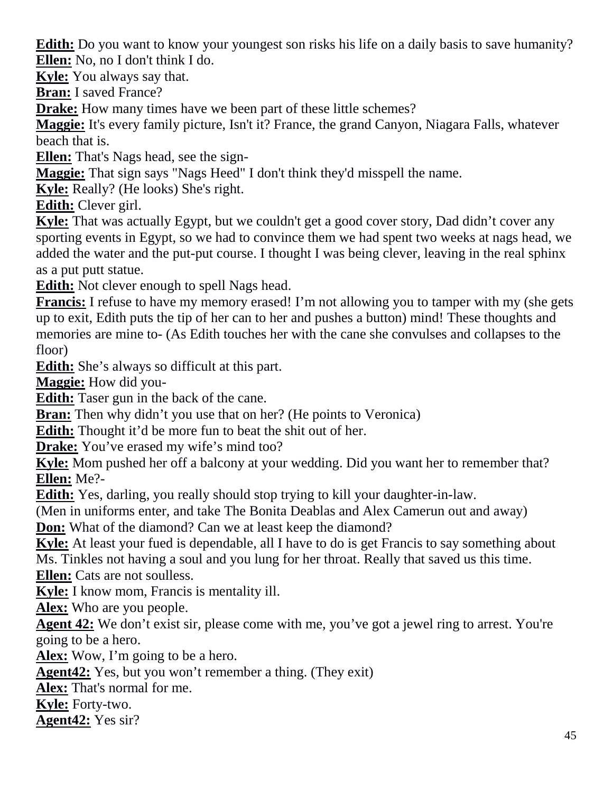**Edith:** Do you want to know your youngest son risks his life on a daily basis to save humanity? **Ellen:** No, no I don't think I do.

**Kyle:** You always say that.

**Bran:** I saved France?

**Drake:** How many times have we been part of these little schemes?

**Maggie:** It's every family picture, Isn't it? France, the grand Canyon, Niagara Falls, whatever beach that is.

**Ellen:** That's Nags head, see the sign-

**Maggie:** That sign says "Nags Heed" I don't think they'd misspell the name.

**Kyle:** Really? (He looks) She's right.

**Edith:** Clever girl.

**Kyle:** That was actually Egypt, but we couldn't get a good cover story, Dad didn't cover any sporting events in Egypt, so we had to convince them we had spent two weeks at nags head, we added the water and the put-put course. I thought I was being clever, leaving in the real sphinx as a put putt statue.

**Edith:** Not clever enough to spell Nags head.

**Francis:** I refuse to have my memory erased! I'm not allowing you to tamper with my (she gets up to exit, Edith puts the tip of her can to her and pushes a button) mind! These thoughts and memories are mine to- (As Edith touches her with the cane she convulses and collapses to the floor)

**Edith:** She's always so difficult at this part.

**Maggie:** How did you-

**Edith:** Taser gun in the back of the cane.

**Bran:** Then why didn't you use that on her? (He points to Veronica)

**Edith:** Thought it'd be more fun to beat the shit out of her.

**Drake:** You've erased my wife's mind too?

**Kyle:** Mom pushed her off a balcony at your wedding. Did you want her to remember that? **Ellen:** Me?-

**Edith:** Yes, darling, you really should stop trying to kill your daughter-in-law.

(Men in uniforms enter, and take The Bonita Deablas and Alex Camerun out and away)

**Don:** What of the diamond? Can we at least keep the diamond?

**Kyle:** At least your fued is dependable, all I have to do is get Francis to say something about Ms. Tinkles not having a soul and you lung for her throat. Really that saved us this time. **Ellen:** Cats are not soulless.

**Kyle:** I know mom, Francis is mentality ill.

**Alex:** Who are you people.

**Agent 42:** We don't exist sir, please come with me, you've got a jewel ring to arrest. You're going to be a hero.

**Alex:** Wow, I'm going to be a hero.

**Agent42:** Yes, but you won't remember a thing. (They exit)

**Alex:** That's normal for me.

**Kyle:** Forty-two.

**Agent42:** Yes sir?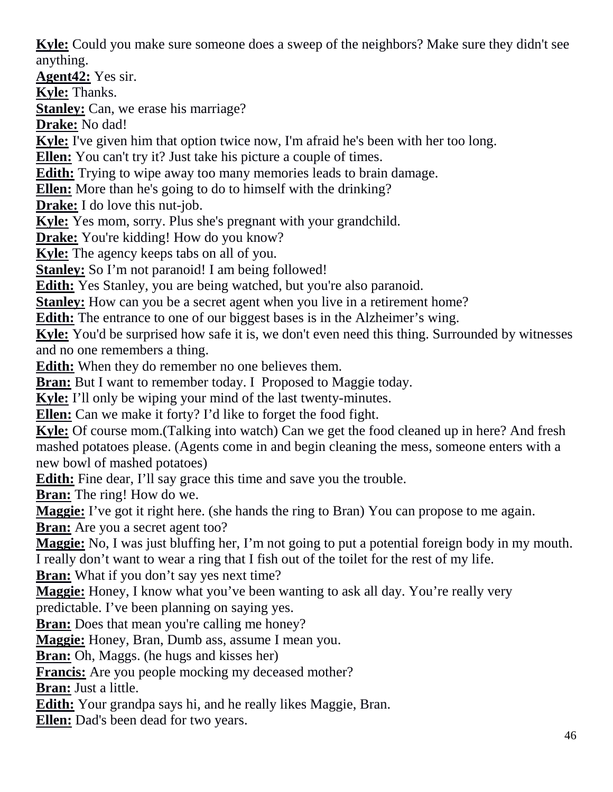**Kyle:** Could you make sure someone does a sweep of the neighbors? Make sure they didn't see anything.

**Agent42:** Yes sir.

**Kyle:** Thanks.

**Stanley:** Can, we erase his marriage?

**Drake:** No dad!

**Kyle:** I've given him that option twice now, I'm afraid he's been with her too long.

**Ellen:** You can't try it? Just take his picture a couple of times.

**Edith:** Trying to wipe away too many memories leads to brain damage.

**Ellen:** More than he's going to do to himself with the drinking?

**Drake:** I do love this nut-job.

**Kyle:** Yes mom, sorry. Plus she's pregnant with your grandchild.

**Drake:** You're kidding! How do you know?

**Kyle:** The agency keeps tabs on all of you.

**Stanley:** So I'm not paranoid! I am being followed!

**Edith:** Yes Stanley, you are being watched, but you're also paranoid.

**Stanley:** How can you be a secret agent when you live in a retirement home?

**Edith:** The entrance to one of our biggest bases is in the Alzheimer's wing.

**Kyle:** You'd be surprised how safe it is, we don't even need this thing. Surrounded by witnesses and no one remembers a thing.

**Edith:** When they do remember no one believes them.

**Bran:** But I want to remember today. I Proposed to Maggie today.

**Kyle:** I'll only be wiping your mind of the last twenty-minutes.

**Ellen:** Can we make it forty? I'd like to forget the food fight.

**Kyle:** Of course mom.(Talking into watch) Can we get the food cleaned up in here? And fresh mashed potatoes please. (Agents come in and begin cleaning the mess, someone enters with a new bowl of mashed potatoes)

**Edith:** Fine dear, I'll say grace this time and save you the trouble.

**Bran:** The ring! How do we.

**Maggie:** I've got it right here. (she hands the ring to Bran) You can propose to me again.

**Bran:** Are you a secret agent too?

**Maggie:** No, I was just bluffing her, I'm not going to put a potential foreign body in my mouth. I really don't want to wear a ring that I fish out of the toilet for the rest of my life.

**Bran:** What if you don't say yes next time?

**Maggie:** Honey, I know what you've been wanting to ask all day. You're really very

predictable. I've been planning on saying yes.

**Bran:** Does that mean you're calling me honey?

**Maggie:** Honey, Bran, Dumb ass, assume I mean you.

**Bran:** Oh, Maggs. (he hugs and kisses her)

**Francis:** Are you people mocking my deceased mother?

**Bran:** Just a little.

**Edith:** Your grandpa says hi, and he really likes Maggie, Bran.

**Ellen:** Dad's been dead for two years.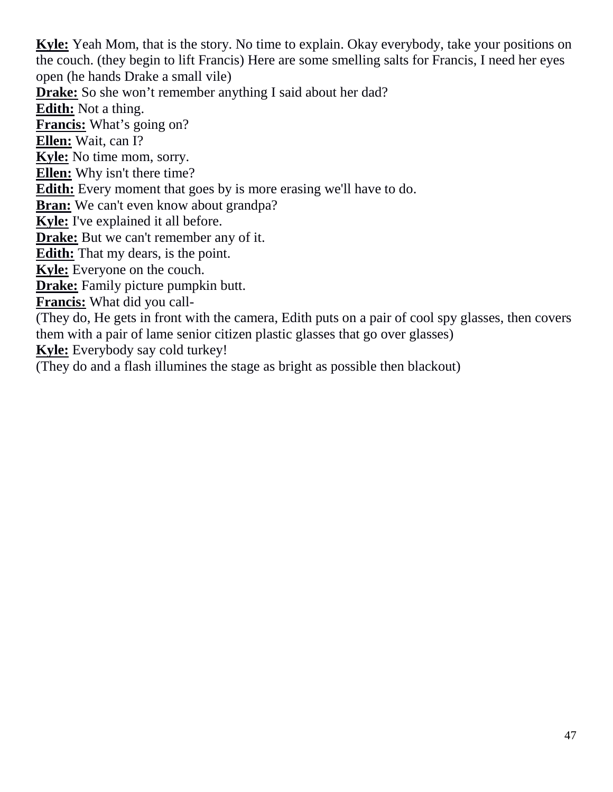**Kyle:** Yeah Mom, that is the story. No time to explain. Okay everybody, take your positions on the couch. (they begin to lift Francis) Here are some smelling salts for Francis, I need her eyes open (he hands Drake a small vile)

**Drake:** So she won't remember anything I said about her dad?

**Edith:** Not a thing.

**Francis:** What's going on?

**Ellen:** Wait, can I?

**Kyle:** No time mom, sorry.

**Ellen:** Why isn't there time?

**Edith:** Every moment that goes by is more erasing we'll have to do.

**Bran:** We can't even know about grandpa?

**Kyle:** I've explained it all before.

**Drake:** But we can't remember any of it.

**Edith:** That my dears, is the point.

**Kyle:** Everyone on the couch.

**Drake:** Family picture pumpkin butt.

**Francis:** What did you call-

(They do, He gets in front with the camera, Edith puts on a pair of cool spy glasses, then covers them with a pair of lame senior citizen plastic glasses that go over glasses)

**Kyle:** Everybody say cold turkey!

(They do and a flash illumines the stage as bright as possible then blackout)